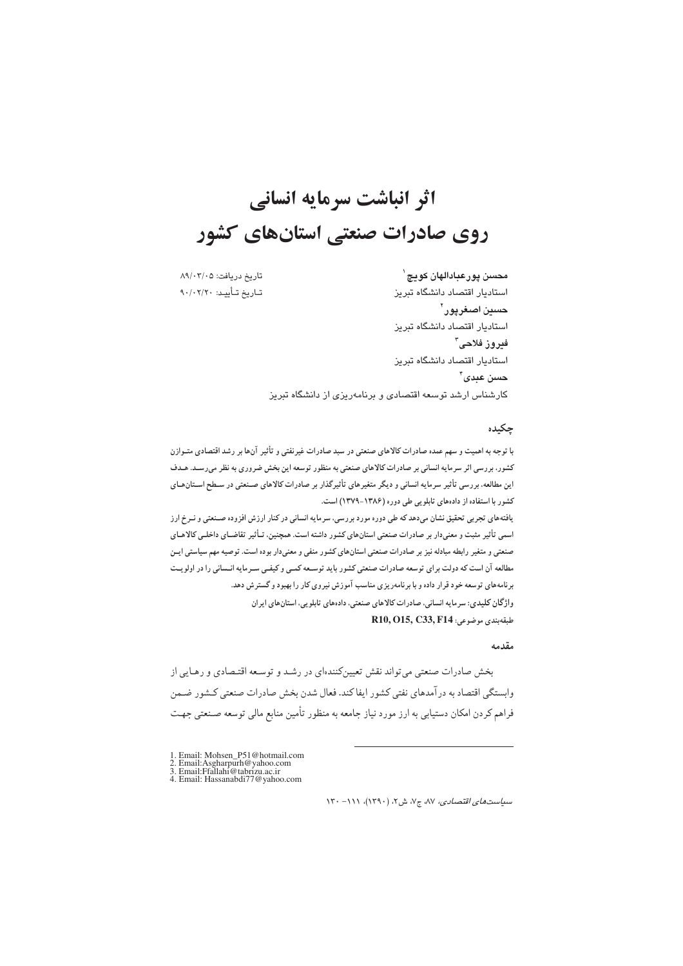# اثر انباشت سرمایه انسانی روی صادرات صنعتی استانهای کشور

تاريخ دريافت: ٨٩/٠٢/٠٥ تــاريخ تــأييــد: ٩٠/٠٢/٢٠

محسن پورعبادالهان کويچ` استاديار اقتصاد دانشگاه تبريز حسين اصغرپور<sup>۲</sup> استاديار اقتصاد دانشگاه تبريز فيروز فلاحى<sup>"</sup> استاديار اقتصاد دانشگاه تبريز حسن عيدي ً ْ کارشناس ارشد توسعه اقتصادی و برنامهریزی از دانشگاه تبریز

### حكىدە

با توجه به اهمیت و سهم عمده صادرات کالاهای صنعتی در سبد صادرات غیرنفتی و تأثیر آنها بر رشد اقتصادی متـوازن کشور، بررسی اثر سرمایه انسانی بر صادرات کالاهای صنعتی به منظور توسعه این بخش ضروری به نظر میرسـد. هـدف این مطالعه، بررسی تأثیر سرمایه انسانی و دیگر متغیرهای تأثیرگذار بر صادرات کالاهای صـنعتی در سـطح اسـتانهـای کشور با استفاده از دادههای تابلویی طی دوره (۱۳۸۶-۱۳۷۹) است. یافتههای تجربی تحقیق نشان میدهد که طی دوره مورد بررسی، سرمایه انسانی در کنار ارزش افزوده صـنعتی و نــرخ ارز اسمی تأثیر مثبت و معنیدار بر صادرات صنعتی استانهای کشور داشته است. همچنین، تـأثیر تقاضـای داخلـی کالاهـای صنعتی و متغیر رابطه مبادله نیز بر صادرات صنعتی استانهای کشور منفی و معنیدار بوده است. توصیه مهم سیاستی ایـن مطالعه آن است که دولت برای توسعه صادرات صنعتی کشور باید توسعه کمـی و کیفـی سـرمایه انـسانی را در اولویـت برنامههای توسعه خود قرار داده و با برنامهریزی مناسب آموزش نیروی کار را بهبود و گسترش دهد. واژگان کلیدی: سرمایه انسانی، صادرات کالاهای صنعتی، دادههای تابلویی، استانهای ایران A10, O15, C33, F14 وضوعى:

#### مقدمه

بخش صادرات صنعتی می تواند نقش تعیینکنندهای در رشـد و توسـعه اقتـصادی و رهـایی از وابستگي اقتصاد به در آمدهاي نفتي كشور ايفاكند. فعال شدن بخش صادرات صنعتي كـشور ضـمن فراهم کردن امکان دستیابی به ارز مورد نیاز جامعه به منظور تأمین منابع مالی توسعه صـنعتی جهـت

1. Email: Asgharpur of Wahoo.com<br>
2. Email: Asgharpur of Wahoo.com<br>
3. Email: Ffallahi @tabrizu.ac.ir<br>
4. Email: Hassanabdi 77 @yahoo.com

 $N^*$ سیاست های اقتصادی، ۸۷، ج۷، ش ۲، (۱۳۹۰)، ۱۱۱–۱۲۰

<sup>1.</sup> Email: Mohsen\_P51@hotmail.com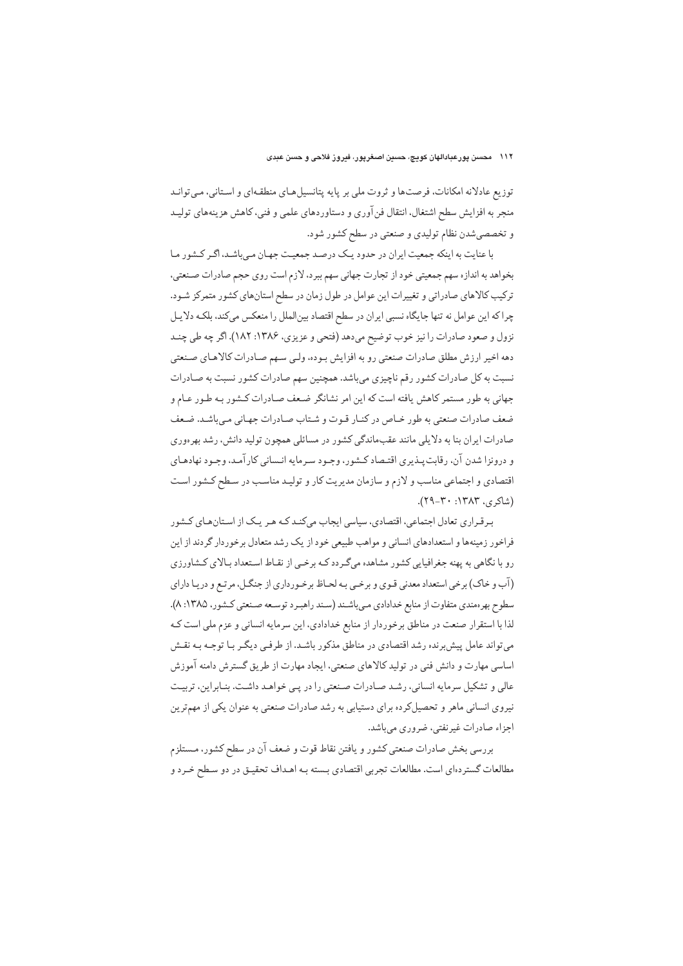توزیع عادلانه امکانات، فرصتها و ثروت ملی بر پایه پتانسیل هـای منطقـهای و اسـتانی، مـی توانـد منجر به افزایش سطح اشتغال، انتقال فن آوری و دستاوردهای علمی و فنی، کاهش هزینههای تولیـد و تخصصي شدن نظام توليدي و صنعتي در سطح كشور شود.

با عنایت به اینکه جمعیت ایران در حدود یک درصد جمعیت جهـان مـی باشـد. اگـر کـشور مـا بخواهد به اندازه سهم جمعیتی خود از تجارت جهانی سهم ببرد، لازم است روی حجم صادرات صنعتی، ترکیب کالاهای صادراتی و تغییرات این عوامل در طول زمان در سطح استانهای کشور متمرکز شـود. چرا که این عوامل نه تنها جایگاه نسبی ایران در سطح اقتصاد بینالملل را منعکس میکند، بلکه دلایل نزول و صعود صادرات را نیز خوب توضیح میدهد (فتحی و عزیزی، ۱۳۸۶: ۱۸۲). اگر چه طی چنـد دهه اخیر ارزش مطلق صادرات صنعتی رو به افزایش بـوده، ولـی سـهم صـادرات کالاهـای صـنعتی نسبت به کل صادرات کشور رقم ناچیزی میباشد. همچنین سهم صادرات کشور نسبت به صـادرات جهانی به طور مستمر کاهش یافته است که این امر نشانگر ضعف صادرات کشور به طـور عـام و ضعف صادرات صنعتي به طور خـاص در كنـار قـوت و شـتاب صـادرات جهـاني مـيباشـد. ضـعف صادرات ایران بنا به دلایلی مانند عقبماندگی کشور در مسائلی همچون تولید دانش، رشد بهرهوری و درونزا شدن آن، رقابت پـذیری اقتـصاد کـشور، وجـود سـرمایه انـسانی کار آمـد، وجـود نهادهـای اقتصادی و اجتماعی مناسب و لازم و سازمان مدیریت کار و تولید مناسب در سطح کشور است (شاکری، ۱۳۸۳: ۳۰-۲۹).

برقراری تعادل اجتماعی، اقتصادی، سیاسی ایجاب میکنـد کـه هـر یـک از اسـتانهـای کـشور فراخور زمینهها و استعدادهای انسانی و مواهب طبیعی خود از یک رشد متعادل برخوردار گردند از این رو با نگاهی به یهنه جغرافیایی کشور مشاهده میگردد کـه برخـی از نقـاط اسـتعداد بـالای کـشاورزی (آب و خاک) برخی استعداد معدنی قـوی و برخـی بـه لحـاظ برخـورداری از جنگـل، مرتـع و دریـا دارای سطوح بهرهمندي متفاوت از منابع خدادادي مي باشـند (سـند راهبـرد توسـعه صـنعتي كـشور، ١٣٨٥: ٨). لذا با استقرار صنعت در مناطق برخوردار از منابع خدادادی، این سرمایه انسانی و عزم ملی است کـه می تواند عامل پیش برنده رشد اقتصادی در مناطق مذکور باشـد. از طرفـی دیگـر بـا توجـه بـه نقـش اساسی مهارت و دانش فنی در تولید کالاهای صنعتی، ایجاد مهارت از طریق گسترش دامنه آموزش عالی و تشکیل سرمایه انسانی، رشد صادرات صنعتی را در پی خواهد داشت. بنابراین، تربیت نیروی انسانی ماهر و تحصیلکرده برای دستیابی به رشد صادرات صنعتی به عنوان یکی از مهمترین اجزاء صادرات غیرنفتی، ضروری میباشد.

بررسی بخش صادرات صنعتی کشور و یافتن نقاط قوت و ضعف آن در سطح کشور، مـستلزم مطالعات گستردهای است. مطالعات تجربی اقتصادی بسته بـه اهـداف تحقیـق در دو سـطح خـرد و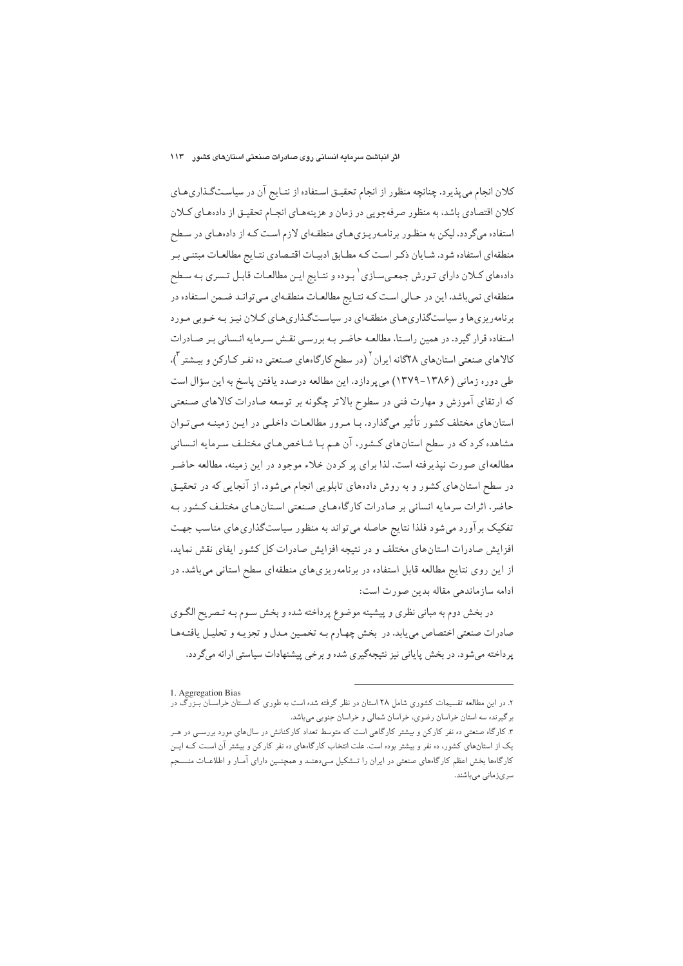کلان انجام میپذیرد. چنانچه منظور از انجام تحقیـق اسـتفاده از نتـایج آن در سیاسـتگـذاریهـای كلان اقتصادي باشد، به منظور صرفهجويي در زمان و هزينههـاي انجـام تحقيـق از دادههـاي كـلان استفاده میگردد، لیکن به منظـور برنامـهریـزیهـای منطقـهای لازم اسـت کـه از دادههـای در سـطح منطقهای استفاده شود. شـایان ذکـر اسـت کـه مطـابق ادبیـات اقتـصادی نتـایج مطالعـات مبتنـی بـر دادههای کـلان دارای تـورش جمعـیسـازی <sup>۱</sup> بـوده و نتـايج ايـن مطالعـات قابـل تـسري بـه سـطح منطقه|ی نمی باشد، این در حـالی اسـت کـه نتـایج مطالعـات منطقـه|ی مـی توانـد ضـمن اسـتفاده در برنامهریزی ها و سیاستگذاری هـای منطقـهای در سیاسـتگـذاری هـای کـلان نیـز بـه خـوبی مـورد استفاده قرار گیرد. در همین راستا، مطالعـه حاضـر بـه بررسـی نقـش سـرمایه انـسانی بـر صـادرات کالاهای صنعتی استانهای ۲۸گانه ایران <sup>۲</sup> (در سطح کارگاههای صنعتی ده نفر کـارکن و بیـشتر <sup>۳</sup>). طی دوره زمانی (۱۳۸۶–۱۳۷۹) می پردازد. این مطالعه درصدد یافتن پاسخ به این سؤال است که ارتقای آموزش و مهارت فنی در سطوح بالاتر چگونه بر توسعه صادرات کالاهای صنعتی استان های مختلف کشور تأثیر میگذارد. بـا مـرور مطالعـات داخلـی در ایـن زمینـه مـی تـوان مشاهده کرد که در سطح استانهای کشور، آن هـم بـا شـاخصهـای مختلـف سـرمايه انـساني مطالعه ای صورت نپذیرفته است. لذا برای پر کردن خلاء موجود در این زمینه، مطالعه حاضر در سطح استانهای کشور و به روش دادههای تابلویی انجام می شود. از آنجایی که در تحقیق حاضر، اثرات سرمایه انسانی بر صادرات کارگاههای صنعتی استانهای مختلف کشور بـه تفکیک برآورد می شود فلذا نتایج حاصله می تواند به منظور سیاستگذاری های مناسب جهت افزایش صادرات استانهای مختلف و در نتیجه افزایش صادرات کل کشور ایفای نقش نماید. از این روی نتایج مطالعه قابل استفاده در برنامهریزی های منطقهای سطح استانی میباشد. در ادامه سازماندهي مقاله بدين صورت است:

در بخش دوم به مبانی نظری و پیشینه موضوع پرداخته شده و بخش سـوم بـه تـصریح الگـوی صادرات صنعتي اختصاص مي يابد. در بخش چهـارم بـه تخمـين مـدل و تجزيـه و تحليـل يافتـههـا پرداخته میشود. در بخش پایانی نیز نتیجهگیری شده و برخی پیشنهادات سیاستی ارائه میگردد.

<sup>1.</sup> Aggregation Bias

۲. در این مطالعه تقسیمات کشوری شامل ۲۸ استان در نظر گرفته شده است به طوری که اســتان خراســان بــزرگ در برگیرنده سه استان خراسان رضوی، خراسان شمالی و خراسان جنوبی میباشد.

۳. کارگاه صنعتی ده نفر کارکن و بیشتر کارگاهی است که متوسط تعداد کارکنانش در سال@ای مورد بررسـی در هــر یک از استانهای کشور، ده نفر و بیشتر بوده است. علت انتخاب کارگاههای ده نفر کارکن و بیشتر آن است کـه ایـن کارگاهها بخش اعظم کارگاههای صنعتی در ایران را تــشکیل مــی،دهنــد و همچنــین دارای آمــار و اطلاعــات منــسجم سرىزمانى مىباشند.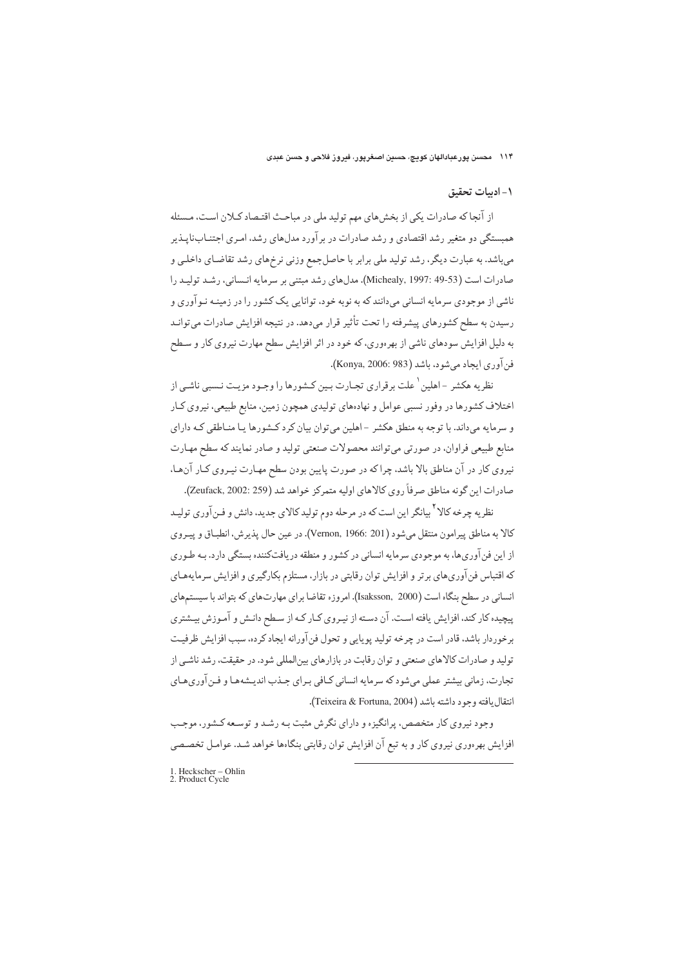۱۱۴ محسن پورعبادالهان کویچ، حسین اصغرپور، فیروز فلاحی و حسن عبدی

#### ١- ادبيات تحقيق

از آنجا که صادرات یکی از بخش های مهم تولید ملی در مباحث اقتـصاد کـلان اسـت، مـسئله همبستگی دو متغیر رشد اقتصادی و رشد صادرات در بر آورد مدلهای رشد، امـری اجتنــابنایــذیر می باشد. به عبارت دیگر، رشد تولید ملی برابر با حاصل جمع وزنی نرخهای رشد تقاضای داخلبی و صادرات است (Michealy, 1997: 49-53). مدلهاي رشد مبتني بر سرمايه انـساني، رشـد توليـد را ناشی از موجودی سرمایه انسانی می،دانند که به نوبه خود، توانایی یک کشور را در زمینـه نـوآوری و رسیدن به سطح کشورهای پیشرفته را تحت تأثیر قرار می،دهد. در نتیجه افزایش صادرات می توانـد به دلیل افزایش سودهای ناشی از بهرهوری، که خود در اثر افزایش سطح مهارت نیروی کار و سـطح فن آوري ايجاد مي شود، باشد (Konya, 2006: 983).

نظریه هکشر -اهلین <sup>۱</sup> علت برقراری تجـارت بـین کـشورها را وجـود مزیـت نـسبی ناشـی از اختلاف کشورها در وفور نسبی عوامل و نهادههای تولیدی همچون زمین، منابع طبیعی، نیروی کـار و سرمایه می،داند. با توجه به منطق هکشر –اهلین می توان بیان کرد کـشورها یـا منـاطقی کـه دارای منابع طبیعی فراوان، در صورتی می توانند محصولات صنعتی تولید و صادر نمایند که سطح مهارت نیروی کار در آن مناطق بالا باشد، چراکه در صورت پایین بودن سطح مهـارت نیـروی کـار آنهـا، صادرات اين گونه مناطق صرفاً روي كالاهاي اوليه متمركز خواهد شد (Zeufack, 2002: 259).

نظریه چرخه کالا<sup>۲</sup>بیانگر این است که در مرحله دوم تولید کالای جدید، دانش و فـنآوری تولیـد كالا به مناطق پيرامون منتقل مي شود (Vernon, 1966: 201). در عين حال يذيرش، انطبـاق و پيـروي از این فن آوریها، به موجودی سرمایه انسانی در کشور و منطقه دریافتکننده بستگی دارد. بـه طـوری که اقتباس فن آوریهای برتر و افزایش توان رقابتی در بازار، مستلزم بکارگیری و افزایش سرمایههـای انسانی در سطح بنگاه است (Isaksson, 2000). امروزه تقاضا برای مهارتهای که بتواند با سیستمهای پیچیده کار کند، افزایش یافته است. آن دسته از نیـروی کـار کـه از سـطح دانـش و آمـوزش بیـشتری برخوردار باشد، قادر است در چرخه تولید پوپایی و تحول فن آورانه ایجاد کرده، سبب افزایش ظرفیت تولید و صادرات کالاهای صنعتی و توان رقابت در بازارهای بینالمللی شود. در حقیقت، رشد ناشبی از تجارت، زماني بيشتر عملي ميشود كه سرمايه انساني كـافي بـراي جـذب انديـشههـا و فـن آوريهـاي انتقال يافته وجود داشته باشد (Teixeira & Fortuna, 2004).

وجود نیروی کار متخصص، پرانگیزه و دارای نگرش مثبت بـه رشـد و توسـعه کـشور، موجـب افزایش بهرهوری نیروی کار و به تبع آن افزایش توان رقابتی بنگاهها خواهد شـد. عوامـل تخصـصی

1. Heckscher – Ohlin<br>2. Product Cycle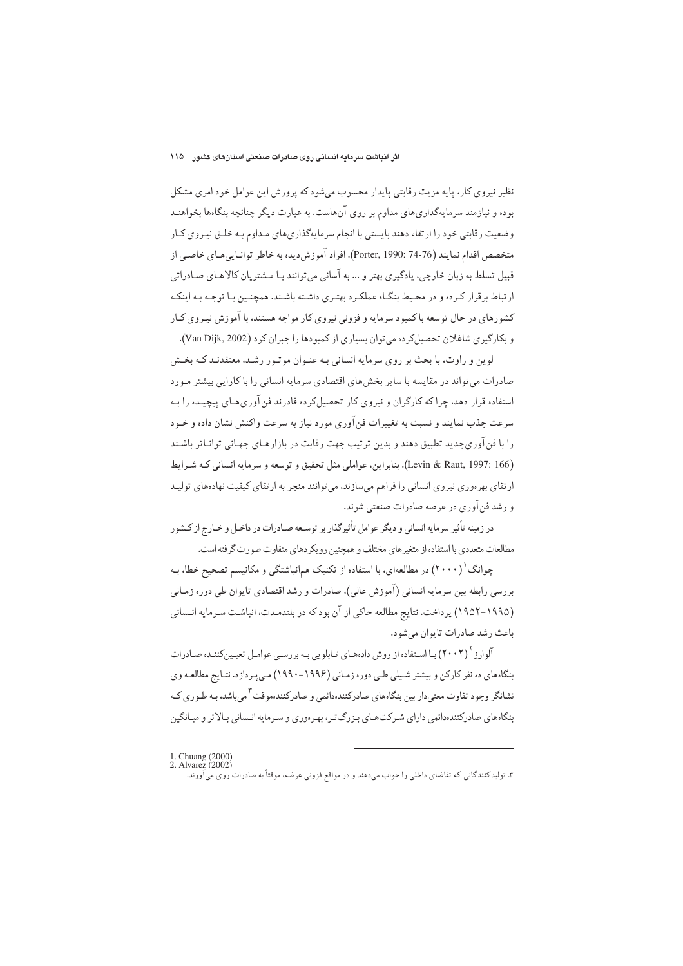نظیر نیروی کار، پایه مزیت رقابتی پایدار محسوب میشود که پرورش این عوامل خود امری مشکل بوده و نیازمند سرمایهگذاریهای مداوم بر روی آنهاست. به عبارت دیگر چنانچه بنگاهها بخواهنـد وضعیت رقابتی خود را ارتقاء دهند بایستی با انجام سرمایهگذاریهای مـداوم بـه خلـق نیـروی کـار متخصص اقدام نمايند (74-74 :Porter, 1990). افراد آموزش ديده به خاطر توانـاييهـاي خاصـي از قبيل تسلط به زبان خارجي، يادگيري بهتر و … به آساني مي توانند بـا مـشتريان كالاهـاي صـادراتي ارتباط برقرار کرده و در محیط بنگاه عملک دیهتری داشته باشند. همچنین با توجه به اینکه کشورهای در حال توسعه باکمبود سرمایه و فزونی نیروی کار مواجه هستند، با آموزش نیـروی کـار و بکارگیری شاغلان تحصیل کرده می توان بسیاری از کمبودها را جبران کرد (Van Dijk, 2002).

لوین و راوت، با بحث بر روی سرمایه انسانی بـه عنـوان موتـور رشـد، معتقدنـد کـه بخـش صادرات می تواند در مقایسه با سایر بخش های اقتصادی سرمایه انسانی را با کارایی بیشتر مـورد استفاده قرار دهد، چرا که کارگران و نیروی کار تحصیل کرده قادرند فن آوری هـای پیچیـده را بـه سرعت جذب نمایند و نسبت به تغییرات فن آوری مورد نیاز به سرعت واکنش نشان داده و خیود را با فن آوری جدید تطبیق دهند و بدین ترتیب جهت رقابت در بازارهـای جهـانی توانـاتر باشـند (Levin & Raut, 1997: 166). بنابراين، عواملي مثل تحقيق و توسعه و سرمايه انساني كـه شـرايط ارتقای بهر موری نیروی انسانی را فراهم می سازند، می توانند منجر به ارتقای کیفیت نهادههای تولیـد و رشد فن آوري در عرصه صادرات صنعتي شوند.

در زمینه تأثیر سرمایه انسانی و دیگر عوامل تأثیرگذار بر توسعه صـادرات در داخـل و خـارج از کـشور مطالعات متعددي با استفاده از متغيرهاي مختلف و همچنين رويكردهاي متفاوت صورت گرفته است.

چوانگ (۲۰۰۰) در مطالعهای، با استفاده از تکنیک همانباشتگی و مکانیسم تصحیح خطا، بـه بررسی رابطه بین سرمایه انسانی (آموزش عالی)، صادرات و رشد اقتصادی تایوان طی دوره زمـانی (۱۹۹۵-۱۹۵۲) پرداخت. نتایج مطالعه حاکی از آن بود که در بلندمدت، انباشت سرمایه انـسانی باعث رشد صادرات تايوان مي شود.

آلوارز ۲۰۰۲) با استفاده از روش دادههای تـابلویی بـه بررسـی عوامـل تعیـینکننـده صـادرات بنگاههای ده نفر کارکن و بیشتر شیلی طبی دوره زمـانی (۱۹۹۶–۱۹۹۰) مـی پـردازد. نتـایج مطالعـه وی نشانگر وجود تفاوت معنىدار بين بنگاههاي صادركنندهدائمي و صادركنندهموقت آميباشد، بـه طـوري كـه بنگاههای صادرکنندهدائمی دارای شیرکتهای بـزرگ تبر، بهیرهوری و سیرمایه انـسانی بـالاتر و میـانگین

1. Chuang (2000)<br>2. Alvarez (2002)

۳. تولیدکنندگانی که تقاضای داخلی را جواب می،دهند و در مواقع فزونی عرضه، موقتاً به صادرات روی می آورند.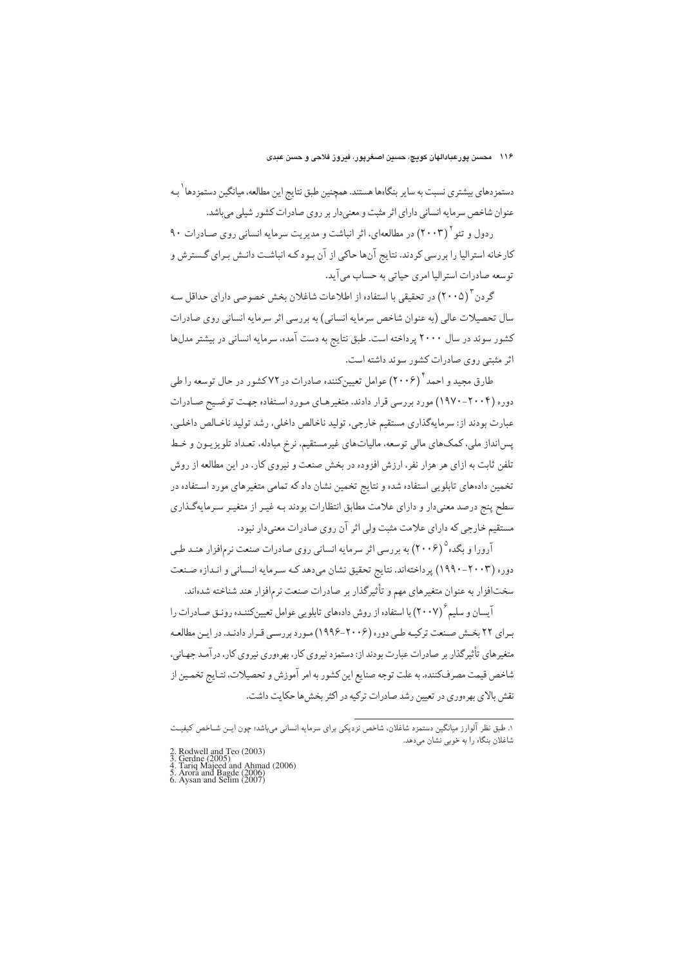دستمزدهای بیشتری نسبت به سایر بنگاهها هستند. همچنین طبق نتایج این مطالعه، میانگین دستمزدها<sup>\</sup> بـه عنوان شاخص سرمایه انسانی دارای اثر مثبت و معنیدار بر روی صادرات کشور شیلی میباشد.

ردول و تئو (۲۰۰۳) در مطالعهای، اثر انباشت و مدیریت سرمایه انسانی روی صبادرات ۹۰ $(5 \cdot$ کارخانه استرالیا را بررسی کردند. نتایج آنها حاکی از آن بـود کـه انباشـت دانـش بـرای گـسترش و توسعه صادرات استراليا امري حياتي به حساب مي آيد.

گر دن "(۲۰۰۵) در تحقیقی با استفاده از اطلاعات شاغلان بخش خصوصی دارای حداقل سـه سال تحصیلات عالی (به عنوان شاخص سرمایه انسانی) به بررسی اثر سرمایه انسانی روی صادرات کشور سوئد در سال ۲۰۰۰ پرداخته است. طبق نتایج به دست آمده، سرمایه انسانی در بیشتر مدلها اثر مثبتی روی صادرات کشور سوئد داشته است.

طارق مجید و احمد<sup>۲</sup> (۲۰۰۶) عوامل تعیینکننده صادرات در ۷۲کشور در حال توسعه را طی دوره (۲۰۰۴–۱۹۷۰) مورد بررسی قرار دادند. متغیرهای مورد استفاده جهت توضیح صادرات عبارت بودند از: سرمايهگذاري مستقيم خارجي، توليد ناخالص داخلي، رشد توليد ناخـالص داخلـي، پسانداز ملی، کمکهای مالی توسعه، مالیاتهای غیرمستقیم، نرخ مبادله، تعـداد تلویزیـون و خـط تلفن ثابت به ازای هر هزار نفر، ارزش افزوده در بخش صنعت و نیروی کار. در این مطالعه از روش تخمین دادههای تابلویی استفاده شده و نتایج تخمین نشان داد که تمامی متغیرهای مورد استفاده در سطح پنج درصد معنیدار و دارای علامت مطابق انتظارات بودند بـه غیـر از متغیـر سـرمایهگـذاری مستقیم خارجی که دارای علامت مثبت ولی اثر آن روی صادرات معنیدار نبود.

آرورا و بگده ۲۰۰۶) به بررسی اثر سرمایه انسانی روی صادرات صنعت نرمافزار هنـد طـی دوره (۲۰۰۳–۱۹۹۰) پرداختهاند. نتایج تحقیق نشان میدهد که سرمایه انسانی و اندازه صنعت سختافزار به عنوان متغيرهاي مهم و تأثيرگذار بر صادرات صنعت نرمافزار هند شناخته شدهاند.

آیسان و سلیم ٔ (۲۰۰۷) با استفاده از روش دادههای تابلویی عوامل تعیینکننـده رونـق صـادرات را بـراي ٢٢ بخـش صـنعت تركيـه طـي دوره (٢٠٠۶–١٩٩۶) مـورد بررسـي قـرار دادنـد. در ايـن مطالعـه متغیرهای تأثیرگذار بر صادرات عبارت بودند از: دستمزد نیروی کار، بهرهوری نیروی کار، درآمد جهـانی، شاخص قیمت مصر فکننده. به علت توجه صنایع این کشور به امر آموزش و تحصیلات، نتـایج تخمـین از نقش بالای بهرهوری در تعیین رشد صادرات ترکیه در اکثر بخش ها حکایت داشت.

۱. طبق نظر آلوارز میانگین دستمزد شاغلان، شاخص نزدیکی برای سرمایه انسانی میباشد؛ چون ایــن شــاخص کیفیــت شاغلان بنگاه را به خوبی نشان میدهد.

<sup>2.</sup> Rodwell and Teo (2003)<br>3. Gerdne (2005)<br>4. Tariq Majeed and Ahmad (2006)<br>5. Arora and Bagde (2006)<br>6. Aysan and Selim (2007)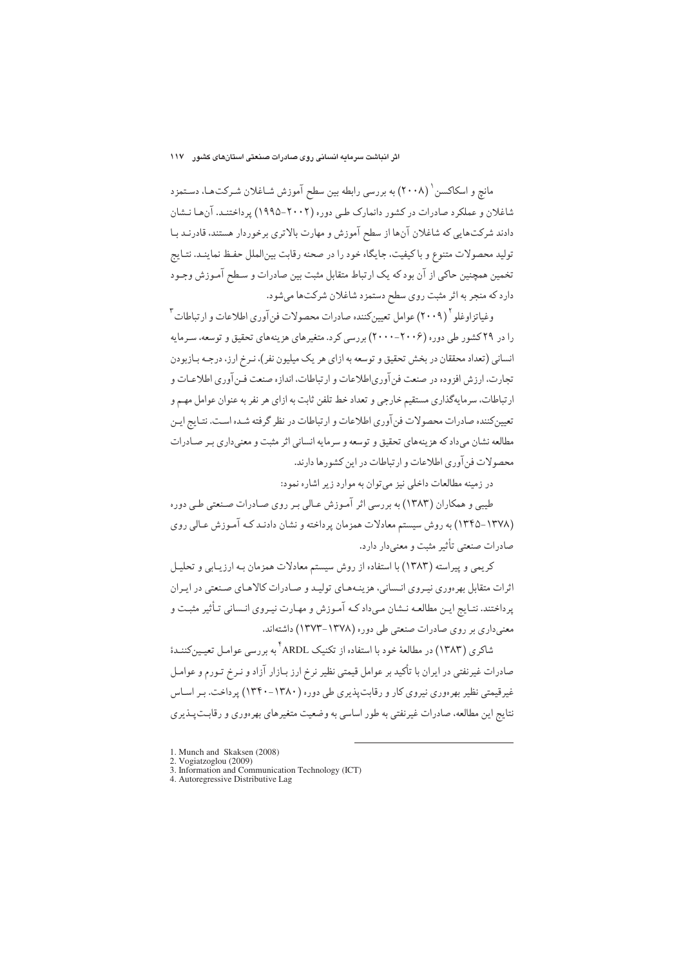مانچ و اسکاکسن <sup>۱</sup> (۲۰۰۸) به بررسی رابطه بین سطح آموزش شـاغلان شـرکتهـا، دسـتمزد شاغلان و عملکرد صادرات در کشور دانمارک طبی دوره (۲۰۰۲–۱۹۹۵) پرداختنـد. آن۱ا نـشان دادند شرکتهایی که شاغلان آنها از سطح آموزش و مهارت بالاتری برخوردار هستند، قادرنـد بـا توليد محصولات متنوع و باكيفيت، جايگاه خود را در صحنه رقابت بين|لملل حفظ نماينـد. نتـايج تخمین همچنین حاکی از آن بود که یک ارتباط متقابل مثبت بین صادرات و سطح آمـوزش وجـود دارد که منجر به اثر مثبت روى سطح دستمزد شاغلان شرکتها مىشود.

وغياتزاوغلو ٢٠٠٩) عوامل تعيين كننده صادرات محصولات فن آوري اطلاعات و ارتباطات <sup>٣</sup> را در ۲۹ کشور طی دوره (۲۰۰۶–۲۰۰۰) بررسی کرد. متغیرهای هزینههای تحقیق و توسعه، سرمایه انسانی (تعداد محققان در بخش تحقیق و توسعه به ازای هر یک میلیون نفر)، نـرخ ارز، درجـه بـازبودن تجارت، ارزش افزوده در صنعت فن آوری اطلاعات و ارتباطات، اندازه صنعت فـن آوری اطلاعـات و ارتباطات، سرمایهگذاری مستقیم خارجی و تعداد خط تلفن ثابت به ازای هر نفر به عنوان عوامل مهیم و تعیین کننده صادرات محصولات فن آوری اطلاعات و ارتباطات در نظر گرفته شـده اسـت. نتـایج ایـن مطالعه نشان می،داد که هزینههای تحقیق و توسعه و سرمایه انسانی اثر مثبت و معنیداری بـر صـادرات محصولات فن آوري اطلاعات و ارتباطات در اين كشورها دارند.

در زمینه مطالعات داخلی نیز می توان به موارد زیر اشاره نمود:

طیبی و همکاران (۱۳۸۳) به بررسی اثر آموزش عـالی بـر روی صـادرات صـنعتی طـی دوره (۱۳۷۸-۱۳۴۵) به روش سیستم معادلات همزمان پرداخته و نشان دادنـد کـه آمـوزش عـالي روي صادرات صنعتي تأثير مثبت و معنىدار دارد.

کریمی و پیراسته (۱۳۸۳) با استفاده از روش سیستم معادلات همزمان بـه ارزیـابی و تحلیـل اثرات متقابل بهر موري نيبروي انـساني، هزينـههـاي توليـد و صـادرات كالاهـاي صـنعتي در ايبران یرداختند. نتـایج ایـن مطالعـه نـشان مـى‹اد کـه آمـوزش و مهـارت نیـروی انـسانی تـأثیر مثبـت و معنیداری بر روی صادرات صنعتی طی دوره (۱۳۷۸-۱۳۷۳) داشتهاند.

شاکری (۱۳۸۳) در مطالعهٔ خود با استفاده از تکنیک ARDL <sup>۴</sup> به بررسی عوامیل تعیین کننیدهٔ صادرات غیرنفتی در ایران با تأکید بر عوامل قیمتی نظیر نرخ ارز بـازار آزاد و نـرخ تـورم و عوامـل غیر قیمتی نظیر بھر دوری نیروی کار و رقابت پذیری طی دورہ (۱۳۸۰–۱۳۴۰) پر داخت. بیر اسیاس نتايج اين مطالعه، صادرات غيرنفتي به طور اساسي به وضعيت متغيرهاي بهرهوري و رقابت پـذيري

<sup>1.</sup> Munch and Skaksen (2008)

<sup>2.</sup> Vogiatzoglou (2009)

<sup>3.</sup> Information and Communication Technology (ICT)

<sup>4.</sup> Autoregressive Distributive Lag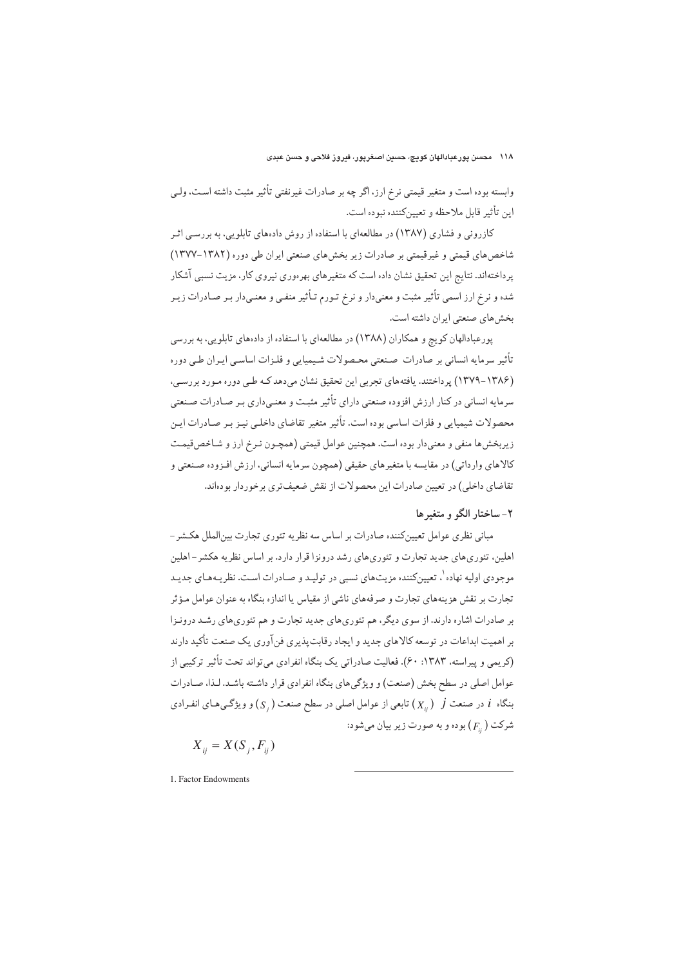وابسته بوده است و متغیر قیمتی نرخ ارز، اگر چه بر صادرات غیرنفتی تأثیر مثبت داشته است، ولے این تأثیر قابل ملاحظه و تعیینکننده نبوده است.

کازرونی و فشاری (۱۳۸۷) در مطالعهای با استفاده از روش دادههای تابلویی، به بررسی اثـر شاخصهای قیمتی و غیرقیمتی بر صادرات زیر بخشهای صنعتی ایران طی دوره (۱۳۸۲–۱۳۷۷) یرداختهاند. نتایج این تحقیق نشان داده است که متغیرهای بهرهوری نیروی کار، مزیت نسبی آشکار شده و نرخ ارز اسمی تأثیر مثبت و معنی دار و نرخ تـورم تـأثیر منفـی و معنـی دار بـر صـادرات زیـر بخش های صنعتی ایران داشته است.

پورعبادالهان کويچ و همکاران (١٣٨٨) در مطالعهاي با استفاده از دادههاي تابلويي، به بررسي تأثير سرمايه انساني بر صادرات صنعتي محصولات شيميايي و فلـزات اساسـي ايـران طـي دوره (۱۳۸۶–۱۳۷۹) پر داختند. یافتههای تجربی این تحقیق نشان میدهد کـه طـی دوره مـورد بررسـی، سرمایه انسانی در کنار ارزش افزوده صنعتی دارای تأثیر مثبت و معنبیداری بـر صـادرات صـنعتی محصولات شیمیایی و فلزات اساسی بوده است. تأثیر متغیر تقاضای داخلبی نیـز بـر صـادرات ایـن زیربخش ها منفی و معنیدار بوده است. همچنین عوامل قیمتی (همچـون نـرخ ارز و شـاخصقیمـت كالاهاي وارداتي) در مقايسه با متغيرهاي حقيقي (همچون سرمايه انساني، ارزش افـزوده صـنعتي و .<br>تقاضای داخلی) در تعیین صادرات این محصولات از نقش ضعیف تری برخوردار بودهاند.

## ۲-ساختار الگو و متغیرها

مبانی نظری عوامل تعیین کننده صادرات بر اساس سه نظریه تئوری تجارت بین الملل هکشر – اهلین، تئوری های جدید تجارت و تئوری های رشد درونزا قرار دارد. بر اساس نظریه هکشر – اهلین موجودی اولیه نهاده`، تعیین کننده مزیتهای نسبی در تولیـد و صـادرات اسـت. نظر یـههـای جدیـد تجارت بر نقش هزینههای تجارت و صرفههای ناشی از مقیاس یا اندازه بنگاه به عنوان عوامل مـؤثر بر صادرات اشاره دارند. از سوی دیگر، هم تئوریهای جدید تجارت و هم تئوریهای رشـد درونـزا بر اهمیت ابداعات در توسعه کالاهای جدید و ایجاد رقابت پذیری فن آوری یک صنعت تأکید دارند (کریمی و پیراسته، ۱۳۸۳: ۶۰). فعالیت صادراتی یک بنگاه انفرادی می تواند تحت تأثیر ترکیبی از عوامل اصلی در سطح بخش (صنعت) و ویژگیهای بنگاه انفرادی قرار داشته باشد. لـذا، صـادرات بنگاه  $i$  در صنعت  $j$   $j$  تابعی از عوامل اصلی در سطح صنعت  $(\overline{S}_i)$  و ویژگـی،هـای انفـرادی شرکت  $(F_{\cdot\cdot})$  بوده و به صورت زیر بیان می شود:

$$
X_{ij} = X(S_j, F_{ij})
$$

1. Factor Endowments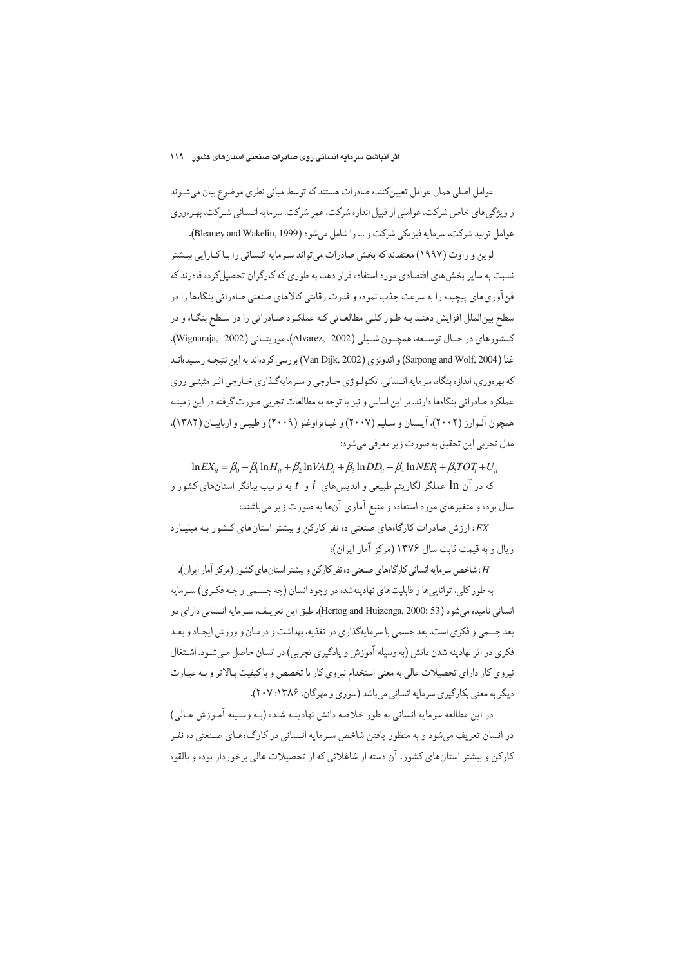عوامل اصلی همان عوامل تعیینکننده صادرات هستند که توسط مبانی نظری موضوع بیان میشـوند و ویژگیهای خاص شرکت، عواملی از قبیل اندازه شرکت، عمر شرکت، سرمایه انـسانی شـرکت، بهـرهوری عوامل توليد شركت، سرمايه فيزيكي شركت و ... را شامل مي شود (Bleaney and Wakelin, 1999).

لوین و راوت (۱۹۹۷) معتقدند که بخش صادرات می تواند سـرمایه انـسانی را بـا کـارایی بیـشتر نسبت به سایر بخش های اقتصادی مورد استفاده قرار دهد، به طوری که کارگران تحصیل کرده قادرند که فن آوری های پیچیده را به سرعت جذب نموده و قدرت رقابتی کالاهای صنعتی صادراتی بنگاهها را در سطح بینالملل افزایش دهنـد بـه طـور کلـی مطالعـاتی کـه عملکـرد صـادراتی را در سـطح بنگـاه و در كسفورهاي در حـال توسـعه، همچــون شــيلي (Alvarez, 2002)، موريتــاني (Wignaraja, 2002). غنا (Sarpong and Wolf, 2004) و اندونزي (Van Dijk, 2002) بررسي كردهاند به اين نتيجـه رسـيدهانـد که بهرهوري، اندازه بنگاه، سرمايه انـساني، تکنولـوژي خـارجي و سـرمايهگـذاري خـارجي اثـر مثبتـي روي عملکرد صادراتی بنگاهها دارند. بر این اساس و نیز با توجه به مطالعات تجربی صورت گرفته در این زمینـه همچون آلـوارز (۲۰۰۲)، آيـسان و سـليم (۲۰۰۷) و غيـاتزاوغلو (۲۰۰۹) و طيبـي و ارباييـان (۱۳۸۲). مدل تجربي اين تحقيق به صورت زير معرفي ميشود:

 $\ln EX_{ii} = \beta_0 + \beta_1 \ln H_{ii} + \beta_2 \ln VAD_{ii} + \beta_3 \ln DD_{ii} + \beta_4 \ln NER + \beta_5 TOT_i + U_{ii}$ 

که در آن 1n عملگر لگاریتم طبیعی و اندیس های  $i$  و  $t$  به ترتیب بیانگر استان های کشور و سال بوده و متغیرهای مورد استفاده و منبع آماری آنها به صورت زیر میباشند:

نارزش صادرات کارگاههای صنعتی ده نفر کارکن و بیشتر استانهای کشور به میلیارد. ر بال و به قیمت ثابت سال ۱۳۷۶ (مرکز آمار ایران)؛

H: شاخص سرمایه انسانی کارگاههای صنعتی ده نفر کارکن و پیشتر استانهای کشور (مرکز آمار ایران). به طور کلي، توانايي ها و قابليت هاي نهادينه شده در وجود انسان (چه جـسمي و چـه فکـري) سـرمايه انساني ناميده مي شود (Hertog and Huizenga, 2000: 53). طبق اين تعريـف، سـرمايه انـساني داراي دو بعد جسمي و فكري است. بعد جسمي با سرمايهگذاري در تغذيه، بهداشت و درمـان و ورزش ايجـاد و بعـد فکري در اثر نهادينه شدن دانش (به وسيله آموزش و يادگيري تجربي) در انسان حاصل مـي شـود. اشـتغال نیروی کار دارای تحصیلات عالی به معنی استخدام نیروی کار با تخصص و با کیفیت بـالاتر و بـه عبـارت دیگر به معنی بکارگیری سرمایه انسانی میباشد (سوری و مهرگان، ۱۳۸۶: ۲۰۷).

در اين مطالعه سرمايه انساني به طور خلاصه دانش نهادينـه شـده (بـه وسـيله آمـوزش عـالي) در انسان تعریف میشود و به منظور یافتن شاخص سرمایه انـسانی در کارگـاهمـای صـنعتی ده نفـر کارکن و بیشتر استانهای کشور، آن دسته از شاغلانی که از تحصیلات عالی برخوردار بوده و بالقوه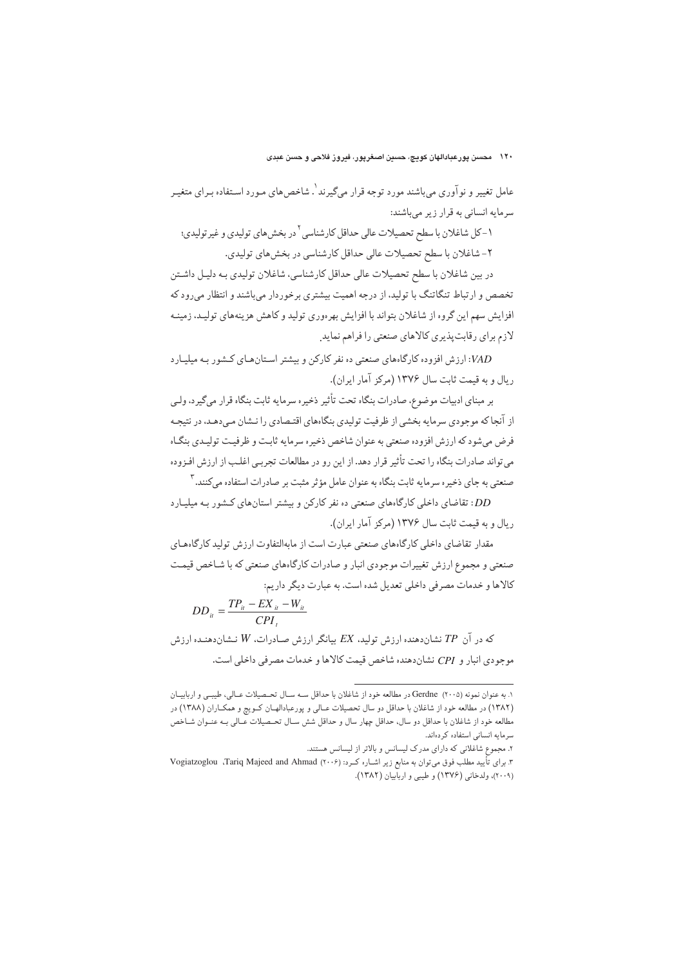عامل تغییر و نوآوری می باشند مورد توجه قرار میگیرند '. شاخص های مـورد اسـتفاده بـرای متغیـر سرمايه انساني به قرار زير ميباشند:

١-كل شاغلان با سطح تحصيلات عالى حداقل كارشناسي `در بخش،هاي توليدي و غير توليدي؛ ۲- شاغلان با سطح تحصیلات عالی حداقل کارشناسی در بخش های تولیدی.

در بین شاغلان با سطح تحصیلات عالی حداقل کارشناسی، شاغلان تولیدی بـه دلیـل داشـتن تخصص و ارتباط تنگاتنگ با تولید، از درجه اهمیت بیشتری برخوردار میباشند و انتظار میرود که افزایش سهم این گروه از شاغلان بتواند با افزایش بهرهوری تولید و کاهش هزینههای تولیـد، زمینـه لازم برای رقابت پذیری کالاهای صنعتی را فراهم نماید.

ارزش افزوده کارگاههای صنعتی ده نفر کارکن و پیشتر استان هیای کشور به میلیبارد:  $VAD$ ريال و به قيمت ثابت سال ١٣٧۶ (مركز آمار ايران).

بر مبناي ادبيات موضوع، صادرات بنگاه تحت تأثير ذخيره سرمايه ثابت بنگاه قرار مي گيرد، ولـي از آنجا که موجودی سرمایه بخشی از ظرفیت تولیدی بنگاههای اقتـصادی را نـشان مـی دهـد، در نتیجـه فرض می شود که ارزش افزوده صنعتی به عنوان شاخص ذخیره سرمایه ثابت و ظرفیت تولیدی بنگـاه می تواند صادرات بنگاه را تحت تأثیر قرار دهد. از این رو در مطالعات تجربـی اغلـب از ارزش افـزوده صنعتی به جای ذخیر ه سرمایه ثابت بنگاه به عنوان عامل مؤ ثر مثبت بر صادرات استفاده می کنند. ۳

.<br>DD: تقاضای داخلی کارگاههای صنعتی ده نفر کارکن و بیشتر استانهای کـشور بـه میلیـارد ر بال و به قیمت ثابت سال ۱۳۷۶ (مرکز آمار ایران).

مقدار تقاضای داخلی کارگاههای صنعتی عبارت است از مابهالتفاوت ارزش تولید کارگاههـای صنعتی و مجموع ارزش تغییرات موجودی انبار و صادرات کارگاههای صنعتی که با شـاخص قیمـت کالاها و خدمات مصرفی داخلی تعدیل شده است. به عبارت دیگر داریم:

$$
DD_{it} = \frac{TP_{it} - EX_{it} - W_{it}}{CPI_{t}}
$$

که در آن  $\mathit{T}P$  نشاندهنده ارزش تولید، EX بیانگر ارزش صـادرات، W نـشاندهنـده ارزش موجودي انبار و CPI نشان دهنده شاخص قيمت كالأها و خدمات مصر في داخلي است.

۱. به عنوان نمونه (۲۰۰۵) Gerdne در مطالعه خود از شاغلان با حداقل سـه سـال تحـصيلات عـالي، طيبـي و اربابيـان (١٣٨٢) در مطالعه خود از شاغلان با حداقل دو سال تحصيلات عـالي و پورعبادالهـان كـويچ و همكـاران (١٣٨٨) در مطالعه خود از شاغلان با حداقل دو سال، حداقل چهار سال و حداقل شش سـال تحـصيلات عـالى بــه عنــوان شــاخص سرمايه انسانى استفاده كردهاند.

۲. مجموع شاغلانی که دارای مدرک لیسانس و بالاتر از لیسانس هستند.

۳. برای تأیید مطلب فوق میتوان به منابع زیر اشـاره کـرد: (۲۰۰۶) Vogiatzoglou ،Tariq Majeed and Ahmad (٢٠٠٩)، ولدخاني (١٣٧۶) و طيبي و اربابيان (١٣٨٢).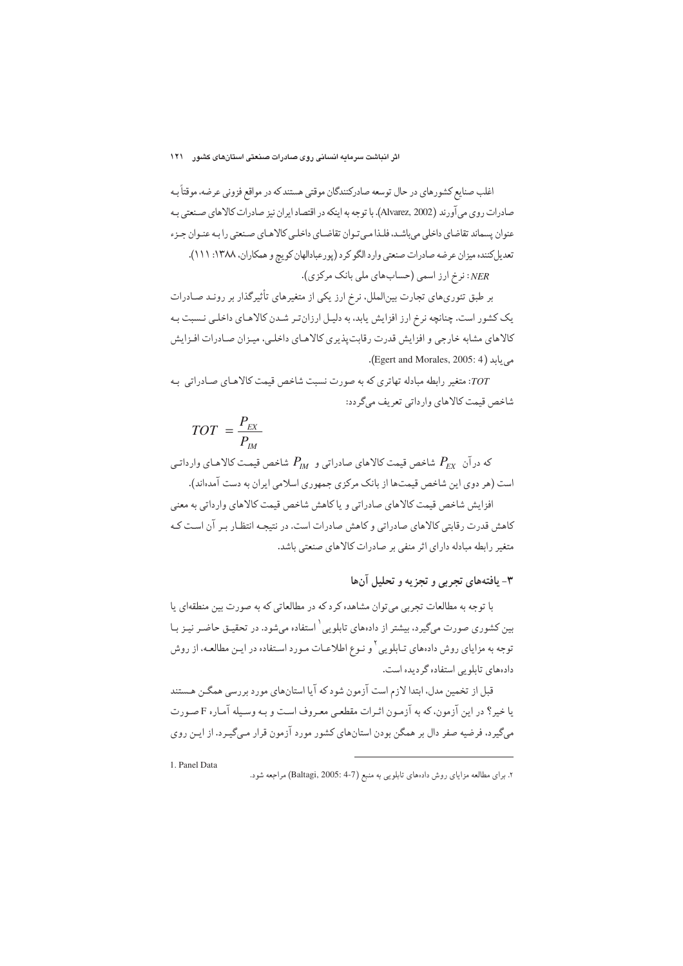اغلب صنایع کشورهای در حال توسعه صادرکنندگان موقتی هستند که در مواقع فزونی عرضه، موقتاً بـه صادرات روى مي آورند (Alvarez, 2002). با توجه به اينكه در اقتصاد ايران نيز صادرات كالاهاي صنعتي بـه عنوان يسماند تقاضاي داخلي مى باشـد. فلـذا مـى تـوان تقاضـاي داخلـى كالاهـاى صـنعتى را بـه عنـوان جـزء تعديل كننده ميزان عرضه صادرات صنعتي وارد الكو كرد (پورعبادالهان كويچ و همكاران، ١٣٨٨: ١١١).

NER: نرخ ارز اسمی (حسابهای ملی بانک مرکزی).

بر طبق تئوریهای تجارت بین|لملل، نرخ ارز یکی از متغیرهای تأثیرگذار بر رونـد صـادرات یک کشور است. چنانچه نرخ ارز افزایش یابد، به دلیل ارزانتر شدن کالاهای داخلی نسبت به کالاهای مشابه خارجی و افزایش قدرت رقابت پذیری کالاهـای داخلـی، میـزان صـادرات افـزایش می یابد (Egert and Morales, 2005: 4).

707: متغیر رابطه مبادله تهاتری که به صورت نسبت شاخص قیمت کالاهـای صـادراتی بـه شاخص قيمت كالاهاي وارداتي تعريف مي گردد:

$$
TOT = \frac{P_{EX}}{P_{IM}}
$$

که درآن  $P_{\scriptscriptstyle FX}$  شاخص قیمت کالاهای صادراتی و  $P_{\scriptscriptstyle IM}$  شاخص قیمت کالاهای وارداتی است (هر دوی این شاخص قیمتها از بانک مرکزی جمهوری اسلامی ایران به دست آمدهاند).

افزايش شاخص قيمت كالاهاي صادراتي و ياكاهش شاخص قيمت كالاهاي وارداتي به معنى کاهش قدرت رقابتی کالاهای صادراتی و کاهش صادرات است. در نتیجـه انتظـار بـر آن اسـت کـه متغیر رابطه مبادله دارای اثر منفی بر صادرات کالاهای صنعتی باشد.

## ۳- پافتههای تجربی و تجزیه و تحلیل آنها

با توجه به مطالعات تجربی می توان مشاهده کرد که در مطالعاتی که به صورت بین منطقهای یا بین کشوری صورت میگیرد، بیشتر از دادههای تابلویی ٔ استفاده میشود. در تحقیـق حاضـر نیـز بـا توجه به مزایای روش دادههای تـابلویی <sup>۲</sup> و نـوع اطلاعـات مـورد اسـتفاده در ایـن مطالعــه، از روش دادههای تابلویی استفاده گردیده است.

قبل از تخمین مدل، ابتدا لازم است آزمون شود که آیا استانهای مورد بررسی همگـن هـستند با خبر؟ در این آزمون، که به آزمون اثیرات مقطعی معبروف است و بـه وسـیله آمیاره F صـورت میگیرد، فرضیه صفر دال بر همگن بودن استانهای کشور مورد آزمون قرار میگیرد. از ایـن روی

۲. برای مطالعه مزایای روش دادههای تابلویی به منبع (Baltagi, 2005: 4-7) مراجعه شود.

<sup>1.</sup> Panel Data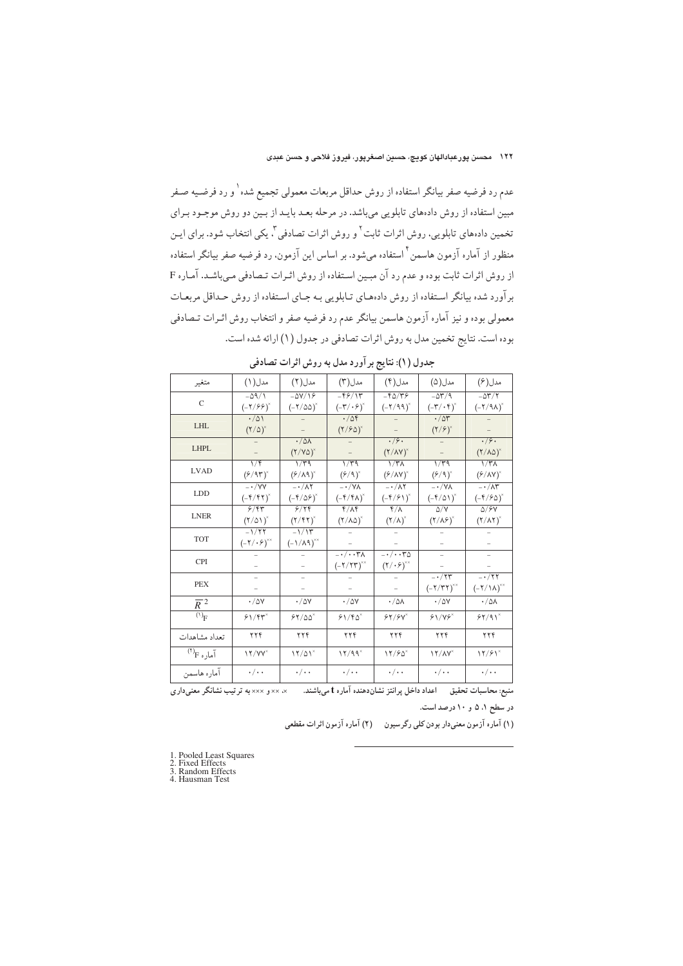عدم رد فرضیه صفر بیانگر استفاده از روش حداقل مربعات معمولی تجمیع شده <sup>۱</sup> و رد فرضـیه صـفر مبین استفاده از روش دادههای تابلویی میباشد. در مرحله بعـد بایـد از بـین دو روش موجـود بـرای تخمین دادههای تابلویی، روش اثرات ثابت<sup>۲</sup> و روش اثرات تصادفی<sup>۳</sup>، یکی انتخاب شود. برای ایـن منظور از آماره آزمون هاسمن ٔ استفاده میشود. بر اساس این آزمون، رد فرضیه صفر بیانگر استفاده از روش اثرات ثابت بوده و عدم رد آن مبـين اسـتفاده از روش اثـرات تـصادفي مـي باشـد. آمـاره F بر آورد شده بیانگر استفاده از روش دادههای تـابلویی بـه جـای اسـتفاده از روش حـداقل مربعـات معمولی بوده و نیز آماره آزمون هاسمن بیانگر عدم رد فرضیه صفر و انتخاب روش اثـرات تـصادفی بوده است. نتايج تخمين مدل به روش اثرات تصادفي در جدول (١) ارائه شده است.

| متغير                                   | مدل( ۱ )                                                    | مدل(۲)                                                | مدل(۳)                                                    | مدل(۴)                                                               | مدل(۵)                                                      | مدل(۶)                                                              |
|-----------------------------------------|-------------------------------------------------------------|-------------------------------------------------------|-----------------------------------------------------------|----------------------------------------------------------------------|-------------------------------------------------------------|---------------------------------------------------------------------|
| $\mathcal{C}$                           | $-\Delta$ 9/1<br>$(-7/99)^x$                                | $-\Delta V/\sqrt{2}$<br>$(-7/\Delta\Delta)^{x}$       | $-59/15$<br>$(-\mathsf{r}/\cdot \mathsf{P})^{\mathsf{x}}$ | $-90/99$<br>$(-7/99)^x$                                              | $-\Delta \Upsilon / 9$<br>$(-\mathsf{r}/\cdot\mathsf{f})^*$ | $-\Delta \Upsilon/\Upsilon$<br>$(-7/9\lambda)^{x}$                  |
| LHL                                     | $\cdot/\Delta$<br>$(Y/\Delta)^{x}$                          |                                                       | $\cdot/\Delta f$<br>$(Y/\epsilon\Delta)^*$                |                                                                      | $\cdot/\Delta r$<br>$(Y/\epsilon)^{x}$                      |                                                                     |
| <b>LHPL</b>                             |                                                             | $\cdot/\Delta\Lambda$<br>$(Y/Y\Delta)^*$              |                                                           | .79.<br>$(Y/AY)^*$                                                   |                                                             | $\cdot$ /9.<br>$(\Upsilon/\lambda\Delta)^{x}$                       |
| <b>LVAD</b>                             | $\sqrt{r}$<br>$(6/95)^{x}$                                  | $1/\overline{r}$ 9<br>$(\frac{\rho}{\Lambda} \eta)^*$ | ۱/۳۹<br>$($ ۶/۹) $^*$                                     | $1/\tau$<br>$(\frac{\rho}{\Lambda V})^*$                             | $1/\overline{r}$ ۹<br>$($ ۶/۹) $^*$                         | $1/\tau$<br>$($ ۶/۸۷) $^*$                                          |
| LDD.                                    | $- \cdot / \sqrt{V}$<br>$(-f/f\tau)^*$                      | $-\cdot/\lambda$ ٢<br>$(-\frac{\epsilon}{2})^x$       | $-\cdot/\forall\lambda$<br>$(-f/f\lambda)^{x}$            | $-\cdot/\lambda$ ۲<br>$(-f/f)^*$                                     | $-\cdot/\sqrt{\lambda}$<br>$(-f/\Delta)$ <sup>x</sup>       | $-\cdot/\lambda^2$<br>$(-\mathfrak{f}/\mathfrak{F}\Delta)^{\times}$ |
| <b>LNER</b>                             | 9/97<br>$(\frac{1}{2})^{\times}$                            | 9/79<br>$(Y/\mathfrak{k}\mathfrak{k})^*$              | $f/\lambda f$<br>$(Y/\lambda\Delta)^{x}$                  | $\sqrt[6]{\Lambda}$<br>$(\Upsilon/\Lambda)^{x}$                      | $\Delta/V$<br>$(Y/\lambda \hat{Y})^*$                       | $\Delta$ / $\epsilon$ Y<br>$(\Upsilon/\Lambda\Upsilon)^{x}$         |
| <b>TOT</b>                              | $-1/77$<br>$(-\mathsf{Y}/\cdot \mathsf{P})^{\times \times}$ | $-1/15$<br>$(-1/\lambda q)^{x}$                       |                                                           |                                                                      |                                                             |                                                                     |
| <b>CPI</b>                              |                                                             |                                                       | $-\cdot/\cdot\cdot\tau$<br>$(-7/77)^{x}$                  | $-\cdot/\cdot\cdot\tau$<br>$(\mathbf{Y}/\cdot\mathbf{\hat{z}})^{**}$ |                                                             |                                                                     |
| <b>PEX</b>                              |                                                             |                                                       |                                                           |                                                                      | $-\cdot/\tau$ ۳<br>$(-7/TT)^{x}$                            | $-\cdot/77$<br>$(-7/\lambda)^{x}$                                   |
| $\overline{R}^2$                        | $\cdot$ /0Y                                                 | $\cdot$ / $\Delta V$                                  | $\cdot$ / $\Delta V$                                      | $\cdot/\Delta\Lambda$                                                | $\cdot$ /0Y                                                 | $\cdot / \Delta \lambda$                                            |
| $\overline{(\lq)}_{F}$                  | $81/84^{\circ}$                                             | 55/20                                                 | $81/F_0^{\times}$                                         | $84/8V^*$                                                            | 81/88                                                       | 54/91                                                               |
| تعداد مشاهدات                           | ۲۲۴                                                         | ۲۲۴                                                   | ۲۲۴                                                       | ۲۲۴                                                                  | ۲۲۴                                                         | ۲۲۴                                                                 |
| $\tilde{\mathsf{h}}$ آماره $\mathsf{F}$ | $11/YY^*$                                                   | $17/01^*$                                             | 17/99                                                     | 17/90                                                                | $17/AY^*$                                                   | 17/91                                                               |
| اماره هاسمن                             | $\cdot/\cdot\cdot$                                          | $\cdot/\cdot\cdot$                                    | $\cdot/\cdot\cdot$                                        | $\cdot/\cdot\cdot$                                                   | $\cdot/\cdot\cdot$                                          | $\cdot/\cdot\cdot$                                                  |

جدول (١): نتايج بر آورد مدل به روش اثرات تصادفي

منبع: محاسبات تحقیق اعداد داخل پرانتز نشاندهنده آماره t میباشند. × × × د × × × به ترتیب نشانگر معنیداری در سطح ۵ ،۵ و ۱۰ درصد است.

(۱) آماره آزمون معنیدار بودن کلی رگرسیون (۲) آماره آزمون اثرات مقطعی

1. Pooled Least Squares

1. Fooled Least Squ<br>
2. Fixed Effects<br>
3. Random Effects<br>
4. Hausman Test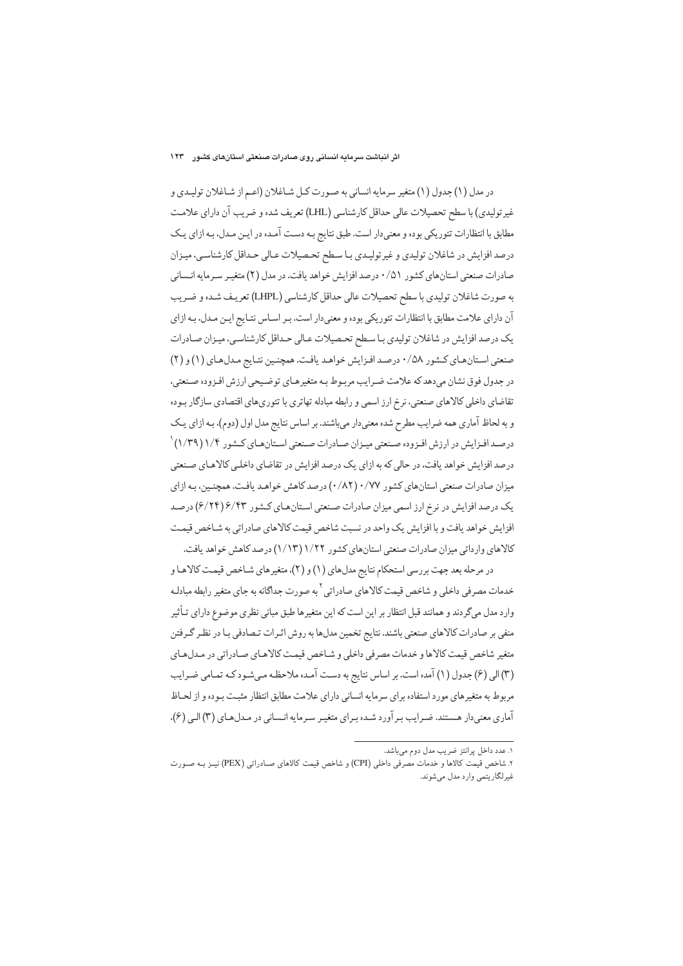در مدل (١) جدول (١) متغير سرمايه انساني به صورت كـل شـاغلان (اعـم از شـاغلان توليـدي و غیر تولیدی) با سطح تحصیلات عالی حداقل کارشناسی (LHL) تعریف شده و ضریب آن دارای علامت مطابق با انتظارات تئوریکی بوده و معنیدار است. طبق نتایج بـه دسـت آمـده در ایـن مـدل، بـه ازای یـک درصد افزايش در شاغلان توليدي و غيرتوليدي با سطح تحصيلات عـالى حـداقل كارشناسي، ميـزان صادرات صنعتی استانهای کشور ۰/۵۱ درصد افزایش خواهد یافت. در مدل (۲) متغیر سـرمایه انـسانی به صورت شاغلان تولیدی با سطح تحصیلات عالی حداقل کارشناسی (LHPL) تعریـف شـده و ضـریب آن دارای علامت مطابق با انتظارات تئوریکی بوده و معنیدار است. بـر اسـاس نتـایج ایـن مـدل، بـه ازای يک درصد افزايش در شاغلان توليدي با سطح تحصيلات عـالي حـداقل كارشناسي، ميـزان صـادرات صنعتی استان های کشور ۰/۵۸ درصد افزایش خواهد یافت. همچنین نتایج مدل های (۱) و (۲) در جدول فوق نشان مىدهد كه علامت ضـرايب مربـوط بـه متغيرهـاي توضـيحى ارزش افـزوده صـنعتي، تقاضای داخلی کالاهای صنعتی، نرخ ارز اسمی و رابطه مبادله تهاتری با تئوریهای اقتصادی سازگار بـوده و به لحاظ آماري همه ضرايب مطرح شده معنى دار مي باشند. بر اساس نتايج مدل اول (دوم)، بـه ازاي يـک درصـد افـزايش در ارزش افـزوده صـنعتي ميـزان صـادرات صـنعتي اسـتانهـاي كـشور ۱/۴ (۱/۳۹) <sup>١</sup> درصد افزایش خواهد یافت، در حالی که به ازای یک درصد افزایش در تقاضای داخلبی کالاهای صنعتی میزان صادرات صنعتی استان های کشور ۰/۸۲) ۰/۷۷ (۰/۸۲) درصد کاهش خواهـد یافـت. همچنـین، بـه ازای یک درصد افزایش در نرخ ارز اسمی میزان صادرات صنعتی استانهای کشور ۶/۴۴(۶/۲۴) درصد افزایش خواهد یافت و با افزایش یک واحد در نسبت شاخص قیمت کالاهای صادراتی به شـاخص قیمت كالاهاي وارداتي ميزان صادرات صنعتي استانهاي كشور ١/٢٢ (١/١٣) درصد كاهش خواهد يافت.

در مرحله بعد جهت بررسي استحكام نتايج مدلهاي (١) و (٢)، متغيرهاي شـاخص قيمـت كالاهـا و خدمات مصرفي داخلي و شاخص قيمت كالاهاي صادراتي <sup>٦</sup> به صورت جداگانه به جاي متغير رابطه مبادلـه وارد مدل میگردند و همانند قبل انتظار بر این است که این متغیرها طبق مبانی نظری موضوع دارای تـأثیر منفی بر صادرات کالاهای صنعتی باشند. نتایج تخمین مدلها به روش اثـرات تـصادفی بـا در نظـر گـرفتن متغیر شاخص قیمت کالاها و خدمات مصرفی داخلی و شـاخص قیمـت کالاهـای صـادراتی در مـدلهـای (٣) اللي (۶) جدول (١) آمده است. بر اساس نتايج به دست آمـده ملاحظـه مـي شـود كـه تمـامي ضـرايب مربوط به متغیرهای مورد استفاده برای سرمایه انسانی دارای علامت مطابق انتظار مثبت بـوده و از لحـاظ آماری معنی دار هستند. ضرایب بر آورد شده برای متغیر سرمایه انـسانی در مـدلهـای (۳) الـی (۶).

۱. عدد داخل پرانتز ضریب مدل دوم میباشد.

۲. شاخص قیمت کالاها و خدمات مصرفی داخلی (CPI) و شاخص قیمت کالاهای صـادراتی (PEX) نیــز بـه صـورت غیر لگاریتمی وارد مدل می شوند.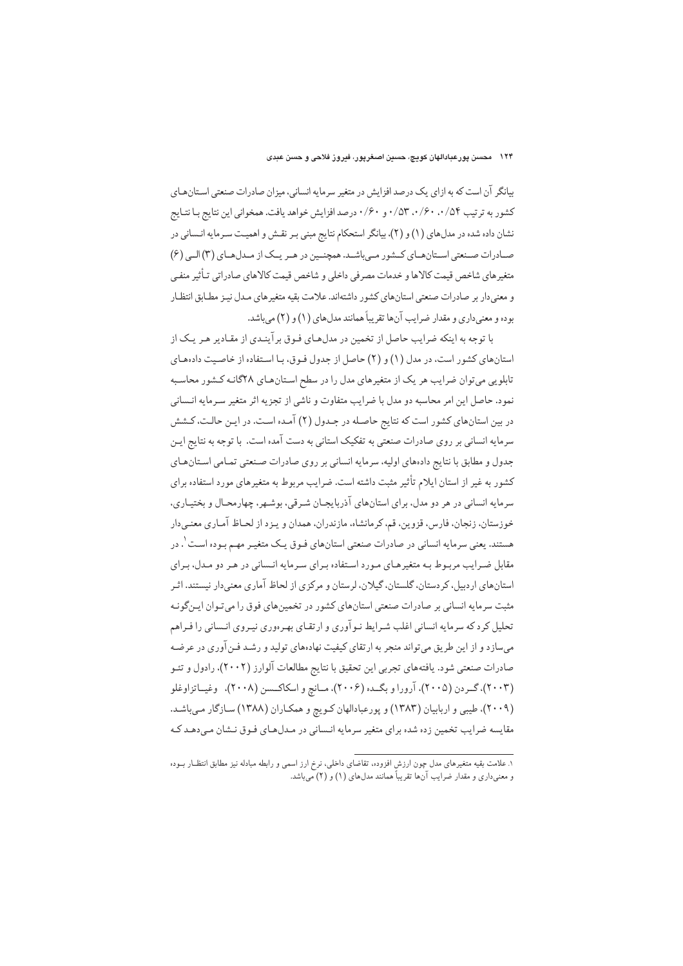### ۱۲۴ محسن یورعبادالهان کویچ، حسین اصغرپور، فیروز فلاحی و حسن عبدی

بیانگر آن است که به ازای یک درصد افزایش در متغیر سرمایه انسانی، میزان صادرات صنعتی استانهای کشور به ترتیب ۵۴/۰٬۰/۶۰ ۲/۰٫۵۳ و ۰/۶۰ درصد افزایش خواهد یافت. همخوانی این نتایج بـا نتـایج نشان داده شده در مدلهای (۱) و (۲)، بیانگر استحکام نتایج مبنی بـر نقـش و اهمیـت سـرمایه انـسانی در صادرات صنعتی استان های کشور میباشد. همچنین در هر یک از میدل های (۳) البی (۶) متغيرهاي شاخص قيمت كالاها و خدمات مصرفي داخلي و شاخص قيمت كالاهاي صادراتي تـأثير منفـي و معنے دار پر صادرات صنعتے استان های کشور داشتهاند. علامت بقیه متغیرهای میدل نیز مطباق انتظیار بوده و معنىداري و مقدار ضرايب آنها تقريباً همانند مدلهاي (١) و (٢) مي باشد.

با توجه به اینکه ضرایب حاصل از تخمین در مدلهای فـوق برآینـدی از مقـادیر هـر یـک از استانهای کشور است، در مدل (۱) و (۲) حاصل از جدول فـوق، بـا اسـتفاده از خاصـیت دادههـای تابلویی میتوان ضرایب هر یک از متغیرهای مدل را در سطح استانهای ۲۸گانـه کـشور محاسـبه نمود. حاصل این امر محاسبه دو مدل با ضرایب متفاوت و ناشی از تجزیه اثر متغیر سـرمایه انـسانی در بین استانهای کشور است که نتایج حاصله در جـدول (۲) آمـده اسـت. در ایـن حالـت، کـشش سرمایه انسانی بر روی صادرات صنعتی به تفکیک استانی به دست آمده است. با توجه به نتایج ایـن جدول و مطابق با نتايج دادههاي اوليه، سرمايه انساني بر روى صادرات صنعتي تمـامي اسـتانهـاي کشور به غیر از استان ایلام تأثیر مثبت داشته است. ضرایب مربوط به متغیرهای مورد استفاده برای سرمايه انساني در هر دو مدل، براي استانهاي آذربايجـان شـرقي، بوشـهر، چهارمحـال و بختيـاري، خوزستان، زنجان، فارس، قزوین، قم، کرمانشاه، مازندران، همدان و پیزد از لحیاظ آمیاری معنبی دار هستند. یعنی سرمایه انسانی در صادرات صنعتی استانهای فـوق یـک متغیـر مهـم بـوده اسـت `. در مقابل ضرایب مربوط به متغیرهای مورد استفاده برای سرمایه انـسانی در هـر دو مـدل، بـرای استانهای اردیبل، کردستان، گلستان، گیلان، لرستان و مرکزی از لحاظ آماری معنی دار نیستند. اثیر مثبت سرمایه انسانی بر صادرات صنعتی استانهای کشور در تخمینهای فوق را می تـوان ایـم گونـه تحلیل کرد که سرمایه انسانی اغلب شـرایط نـوآوری و ارتقـای بهـرهوری نیـروی انـسانی را فـراهم میسازد و از این طریق می تواند منجر به ارتقای کیفیت نهادههای تولید و رشـد فـن آوری در عرضـه صادرات صنعتی شود. یافتههای تجربی این تحقیق با نتایج مطالعات آلوارز (۲۰۰۲)، رادول و تئـو (۲۰۰۳)، گـردن (۲۰۰۵)، آرورا و بگـده (۲۰۰۶)، مـانچ و اسکاکـسن (۲۰۰۸)، وغيـاتزاوغلو (۲۰۰۹)، طیبی و اربابیان (۱۳۸۳) و پورعبادالهان کـویچ و همکـاران (۱۳۸۸) سـازگار مـیباشـد. مقایسه ضرایب تخمین زده شده برای متغیر سرمایه انـسانی در مـدلهـای فـوق نـشان مـیدهـد کـه

۱. علامت بقیه متغیرهای مدل چون ارزش افزوده، تقاضای داخلی، نرخ ارز اسمی و رابطه مبادله نیز مطابق انتظــار بــوده و معنیداری و مقدار ضرایب آنها تقریباً همانند مدلهای (۱) و (۲) میباشد.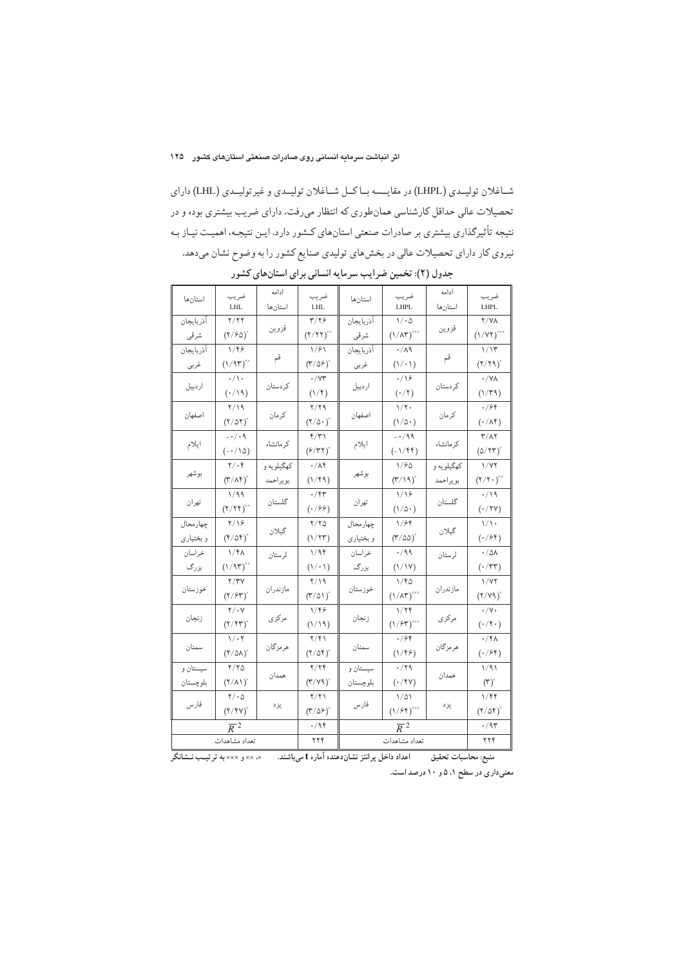شـاغلان توليـدي (LHPL) در مقايـسه بـاكـل شـاغلان توليـدي و غيرتوليـدي (LHL) داراي تحصیلات عالی حداقل کارشناسی همانطوری که انتظار میرفت، دارای ضریب بیشتری بوده و در نتیجه تأثیرگذاری بیشتری بر صادرات صنعتی استانهای کـشور دارد. ایـن نتیجـه، اهمیـت نیـاز بـه نیروی کار دارای تحصیلات عالی در بخشهای تولیدی صنایع کشور را به وضوح نشان میدهد.

| استانها          | ضريب<br><b>LHL</b>                               | ادامه<br>استانها       | ضريب<br>LHL                                           | استانها                | ضريب<br><b>LHPL</b>                                   | ادامه<br>استانها | ضريب<br>LHPL                                                 |
|------------------|--------------------------------------------------|------------------------|-------------------------------------------------------|------------------------|-------------------------------------------------------|------------------|--------------------------------------------------------------|
| آذربايجان        | Y/YY                                             | قزوين                  | $\mathbf{r}/\mathbf{v}$                               | آذربايجان              | $\backslash/\cdot\mathbin{\lozenge}$                  | قزوين            | <b>Y/YA</b>                                                  |
| شرقي             | $(7/80)^{x}$                                     |                        | $(Y/YY)^{**}$                                         | شرقي                   | $\left(\text{1/AT}\right)^{\!\times\!\times\!\times}$ |                  | $(1/YY)^{***}$                                               |
| آذربايجان        | ۱/۴۶                                             |                        | ۱/۶۱                                                  | أذربايجان              | $\cdot/\lambda$ ٩                                     |                  | 1/15                                                         |
| غربي             | (1/95)                                           | قم                     | $(\mathsf{k}/\mathsf{d}\mathsf{P})^{\mathsf{x}}$      | غربي                   | $(1/\cdot 1)$                                         | قم               | $(7/79)^2$                                                   |
| اردبيل           | $\cdot/\backslash$ .                             | كردستان                | $\cdot/\forall\tau$                                   | اردبيل                 | $\cdot/\sqrt{2}$                                      | كردستان          | $\cdot/\forall\lambda$                                       |
|                  | $(\cdot/\backslash 9)$                           |                        | $(1/\mathfrak{k})$                                    |                        | $(\cdot/\texttt{Y})$                                  |                  | $(1/\tau q)$                                                 |
| اصفهان           | ۲/۱۹                                             | كرمان                  | ۲/۲۹                                                  | اصفهان                 | $1/\tau$ .                                            | كرمان            | ۰/۶۴                                                         |
|                  | $(7/\Delta 7)^{x}$                               |                        | $(\mathbf{Y}/\mathbf{Q}\cdot)\mathbf{A}$              |                        | $(1/\Delta)$                                          |                  | $(\cdot/\lambda\mathfrak{k})$                                |
| ايلام            | $-\cdot/\cdot$ ۹                                 | کر مانشاه              | $\frac{6}{3}$                                         | ايلام                  | $- \cdot / 99$                                        | کر مانشاه        | ۳/۸۲                                                         |
|                  | $(-\cdot/\wedge\varphi)$                         |                        | $(F/TT)^{x}$                                          |                        | $(-1/\mathfrak{k}\mathfrak{k})$                       |                  | $(\Delta/\Upsilon\Upsilon)^2$                                |
| بوشهر            | $\mathbf{Y}/\cdot\mathbf{f}$                     | کهگیلویه و<br>بويراحمد | $\cdot/\lambda$ ۴                                     | بوشهر                  | 1/80                                                  | کهگیلویه و       | $1/\mathsf{Y} \mathsf{Y}$                                    |
|                  | $(\mathbf{r}/\mathbf{v})^*$                      |                        | $(\backslash/\mathfrak{k}\mathfrak{q})$               |                        | $(\Gamma/\backslash\mathfrak{q})^{\times}$            | بويراحمد         | $\left(\mathbf{Y}/\mathbf{Y}\cdot\right)^{\!\times\!\times}$ |
| تهران            | 1/99                                             | گلستان                 | $\cdot$ /۴۳                                           | تهران                  | 1/19                                                  | گلستان           | $\cdot/\backslash$ ٩                                         |
|                  | $(\Upsilon/\Upsilon\Upsilon)^{\times\times}$     |                        | $(\cdot$ /۶۶)                                         |                        | $(1/\Delta)$                                          |                  | $(\cdot$ /۲۷)                                                |
| چهارمحال         | $\frac{1}{2}$                                    | گيلان                  | $\frac{1}{2}$                                         | چهار محال<br>و بختیاری | ۱/۶۴                                                  | گیلان            | $\backslash/\backslash$ .                                    |
| و بختیاری        | $(\mathsf{f}/\mathsf{d}\mathsf{f})^{\mathsf{a}}$ |                        | (1/7)                                                 |                        | $(\mathsf{r}/\mathsf{d}\mathsf{d})^{\mathsf{s}}$      |                  | $(\cdot / \mathfrak{F})$                                     |
| خراسان           | $1/f\Lambda$                                     | لرستان                 | 1/9f                                                  | خراسان                 | $\cdot$ /99                                           | لرستان           | $\cdot/\Delta\lambda$                                        |
| بزرگ             | $(\frac{1}{9})^{\times}$                         |                        | $\left(\left\langle \cdot,\cdot\right\rangle \right)$ | بزرگ                   | $(\frac{1}{1})$                                       |                  | $(\cdot/\mathsf{r}\mathsf{r})$                               |
| خوزستان          | 7/۳V                                             | مازندران               | ۲/۱۹                                                  | خوزستان                | ۱/۴۵                                                  | مازندران         | 1/YY                                                         |
|                  | $(\frac{1}{2}(\frac{1}{2})^{\times})^{\times}$   |                        | $(\mathsf{T}/\mathsf{d})^{\times}$                    |                        | $(\frac{1}{\sqrt{N}})^{X \times X}$                   |                  | $(\Upsilon/\Upsilon \gamma)^*$                               |
| زنجان            | $\mathbf{Y}/\cdot\mathbf{Y}$                     | مركزى                  | 1/46                                                  | زنجان                  | ۱/۲۴                                                  | مركزي            | $\cdot/\mathsf{y}$ .                                         |
|                  | $(\Upsilon/\Upsilon\Upsilon)^{x}$                |                        | $(\backslash\backslash\backslash\mathfrak{h})$        |                        | $\left(\text{1/FT}\right)^{\!\times\!\times\!\times}$ |                  | $(\cdot/\mathfrak{f}\,\cdot\,)$                              |
| سمنان            | $\backslash/\cdot\!\!\restriction$               | هرمزگان                | $\frac{1}{2}$                                         | سمنان                  | $\cdot$ /۶۴                                           | هرمزگان          | $\cdot$ /۴۸                                                  |
|                  | $(\frac{1}{2} \delta \lambda)^{x}$               |                        | $\left(\mathbf{Y}/\Delta\mathbf{Y}\right)^{\times}$   |                        | $(1/\ell)$                                            |                  | $(\cdot$ /۶۴)                                                |
| سيستان و         | $\frac{1}{2}$                                    | همدان                  | 7/79                                                  | سيستان و               | $\cdot$ /۲۹                                           | همدان            | 1/91                                                         |
| بلوچستان         | $(\Upsilon/\Lambda\Upsilon)^*$                   |                        | $(\mathsf{r}/\mathsf{v}\mathsf{q})^*$                 | بلوچستان               | $(\cdot/\mathsf{f}\mathsf{Y})$                        |                  | $(\mathbf{r})^*$                                             |
| فارس             | $\mathbf{Y}/\cdot\mathbf{Q}$                     |                        | $\frac{1}{\pi}$                                       | فارس                   | $1/\Delta1$                                           | يز د             | 1/ff                                                         |
|                  | $(\Upsilon/\Upsilon \Upsilon)^*$                 | يز د                   | $(\mathsf{t}/\mathfrak{d}\mathfrak{c})^{\times}$      |                        | $(1/8f)^{***}$                                        |                  | $(7/\Delta f)^{x}$                                           |
| $\overline{R}^2$ |                                                  |                        | ۰/۹۴                                                  | $\overline{R}^2$       |                                                       |                  | ۰/۹۳                                                         |
| تعداد مشاهدات    |                                                  |                        | ۲۲۴                                                   | تعداد مشاهدات          |                                                       |                  | ۲۲۴                                                          |

جدول (۲): تخمین ضرایب سرمایه انسانی برای استانهای کشور

منبع: محاسبات تحقیق اعداد داخل پرانتز نشاندهنده آماره t میباشند. ×××× و ××× به ترتیب نــشانگر

معنیداری در سطح ۱، ۵ و ۱۰ درصد است.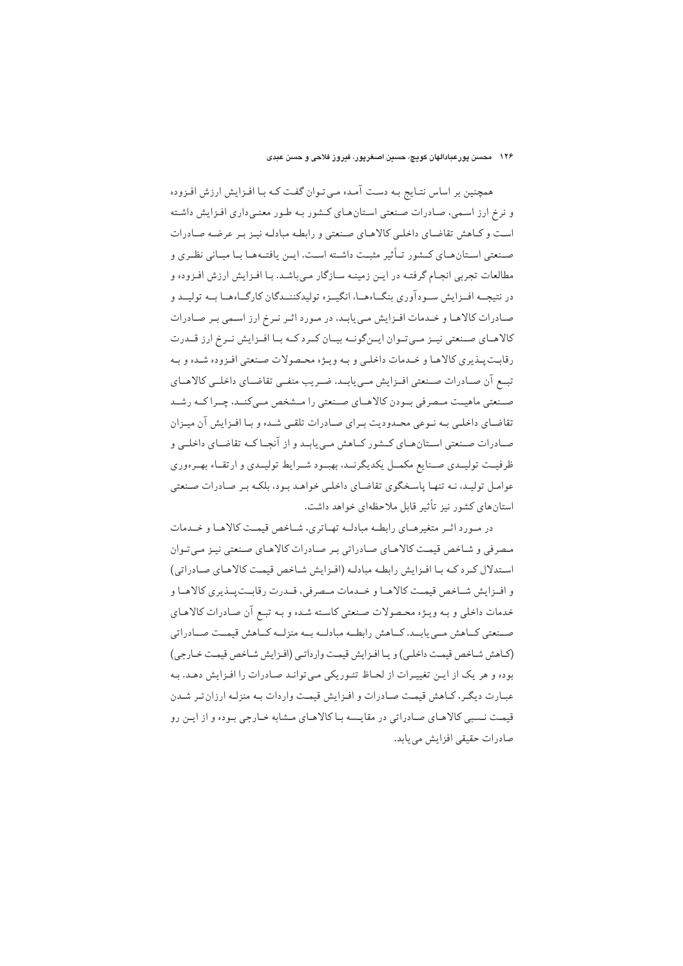#### ۱۲۶ محسن پورعبادالهان کويچ، حسين اصغرپور، فيروز فلاحی و حسن عبدی

همچنین بر اساس نتـایج بـه دسـت آمـده مـی تـوان گفـت کـه بـا افـزایش ارزش افـزوده و نرخ ارز اسمی، صادرات صنعتی استان های کشور به طور معنی داری افزایش داشته است و کیاهش تقاضای داخلبی کالاهیای صنعتی و رابطه مبادلیه نییز بیر عرضه صادرات صـنعتي اسـتانهـاي كـشور تـأثير مثبـت داشـته اسـت. ايـن يافتـههـا بـا مبـاني نظـري و مطالعات تجربی انجام گرفتـه در ایـن زمینـه سـازگار مـیباشـد. بـا افـزایش ارزش افـزوده و در نتیجــه افــزایش ســودآوری بنگــاههــا، انگیــزه تولیدکننــدگان کارگــاهــا بــه تولیــد و صادرات کالاهـا و خـدمات افـزايش مـى يابـد. در مـورد اثـر نـرخ ارز اسـمى بـر صـادرات کالاهـاي صـنعتي نيـز مـيتـوان ايـنگونـه بيـان كـرد كـه بـا افـزايش نـرخ ارز قــدرت رقابت پـذيري كالاهـا و خـدمات داخلـي و بـه ويـژه محـصولات صـنعتي افـزوده شـده و بـه تبيع أن صبادرات صنعتي افيزايش مبي يابيد. ضيريب منفيي تقاضياي داخليي كالاهياي صنعتی ماهیـت مـصرفی بـودن كالاهـاي صـنعتی را مـشخص مـیكنـد، چـراكـه رشـد تقاضـاي داخلـي بـه نـوعى محـدوديت بـراي صـادرات تلقـي شـده و بـا افـزايش آن ميـزان صـادرات صـنعتي اسـتانهـاي كـشور كـاهش مـييابـد و از آنجـا كـه تقاضـاي داخلـي و ظرفیــت تولیــدی صــنایع مکمــل یکدیگرنــد، بهبـود شــرایط تولیــدی و ارتقــاء بهــرهوری عوامل تولیـد، نـه تنهـا پاسـخگوی تقاضـای داخلـی خواهـد بـود، بلکـه بـر صـادرات صـنعتی استانهای کشور نیز تأثیر قابل ملاحظهای خواهد داشت.

در مورد اثمر متغیرهای رابطه مبادلمه تهاتری، شاخص قیمت کالاها و خدمات مصرفی و شاخص قیمت کالاهای صادراتی بر صادرات کالاهای صنعتی نیز می توان استدلال كردكه با افزايش رابطه مبادله (افزايش شاخص قيمت كالاهاى صادراتى) و افزايش شـاخص قيمـت كالاهـا و خـدمات مـصرفي، قـدرت رقابـت پـذيري كالاهـا و خدمات داخلي و بـه ويـژه محـصولات صـنعتي كاسـته شـده و بـه تبـع آن صـادرات كالاهـاي صـنعتي كــاهش مــي يابــد. كــاهش رابطــه مبادلــه بــه منزلــه كــاهش قيمــت صــادراتي (كاهش شاخص قيمت داخلي) ويا افزايش قيمت وارداتي (افزايش شاخص قيمت خارجي) بوده و هر یک از این تغییرات از لحـاظ تئـوریکی مـی توانـد صـادرات را افـزایش دهـد. بـه عبارت ديگر، كـاهش قيمـت صـادرات و افـزايش قيمـت واردات بـه منزلـه ارزان تـر شـدن قیمت نـسبی کالاهـای صـادراتی در مقایـسه بـا کالاهـای مـشابه خـارجی بـوده و از ایـن رو صادرات حقيقى افزايش مى يابد.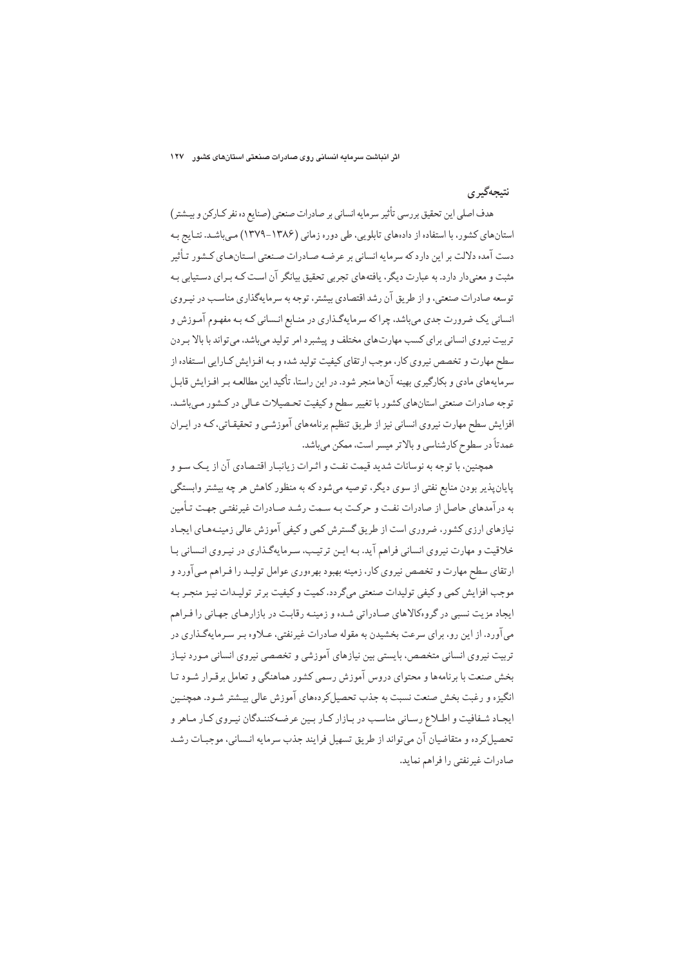اثر انباشت سرمایه انسانی روی صادرات صنعتی استانهای کشور ۱۲۷

## نتيجەگېرى

هدف اصلي اين تحقيق بررسي تأثير سرمايه انساني بر صادرات صنعتي (صنايع ده نفر كـاركن و بيــشتر) استانهای کشور، با استفاده از دادههای تابلویی، طی دوره زمانی (۱۳۸۶-۱۳۷۹) میباشد. نتـایج بـه دست آمده دلالت بر این دارد که سرمایه انسانی بر عرضـه صـادرات صـنعتی اسـتانهـای کـشور تـأثیر مثبت و معنی دار دارد. به عبارت دیگر، یافتههای تجربی تحقیق بیانگر آن است کـه بـرای دسـتیابی بـه توسعه صادرات صنعتی، و از طریق آن رشد اقتصادی بیشتر، توجه به سرمایهگذاری مناسب در نیـروی انساني يک ضرورت جدي مي باشد، چرا که سرمايهگذاري در منـابع انـساني کـه بـه مفهـوم آمـوزش و تربیت نیروی انسانی برای کسب مهارتهای مختلف و پیشبرد امر تولید می باشد، می تواند با بالا بـردن سطح مهارت و تخصص نیروی کار، موجب ارتقای کیفیت تولید شده و بـه افـزایش کـارایی اسـتفاده از سرمایههای مادی و بکارگیری بهینه آنها منجر شود. در این راستا، تأکید این مطالعـه بـر افـزایش قابـل توجه صادرات صنعتي استانهاي كشور با تغيير سطح و كيفيت تحصيلات عـالي در كـشور مـيباشـد. افزایش سطح مهارت نیروی انسانی نیز از طریق تنظیم برنامههای آموزشـی و تحقیقـاتی، کـه در ایـران عمدتاً در سطوح كارشناسي و بالاتر ميسر است، ممكن ميباشد.

همچنین، با توجه به نوسانات شدید قیمت نفت و اثـرات زیانبـار اقتـصادی آن از یـک سـو و پایانپذیر بودن منابع نفتی از سوی دیگر، توصیه میشود که به منظور کاهش هر چه بیشتر وابستگی به درآمدهای حاصل از صادرات نفت و حرکت بـه سـمت رشـد صـادرات غیرنفتـی جهـت تـأمین نیازهای ارزی کشور، ضروری است از طریق گسترش کمی و کیفی آموزش عالی زمینـههـای ایجـاد خلاقیت و مهارت نیروی انسانی فراهم آید. بـه ایـن ترتیـب، سـرمایهگـذاری در نیـروی انـسانی بـا ارتقای سطح مهارت و تخصص نیروی کار، زمینه بهبود بهرهوری عوامل تولیـد را فـراهم مـی|آورد و موجب افزایش کمی و کیفی تولیدات صنعتی میگردد. کمیت و کیفیت برتر تولیـدات نیـز منجـر بـه ایجاد مزیت نسبی در گروهکالاهای صادراتی شده و زمینه رقابت در بازارهـای جهـانی را فـراهم می آورد. از این رو، برای سرعت بخشیدن به مقوله صادرات غیرنفتی، عـلاوه بـر سـرمایهگـذاری در تربیت نیروی انسانی متخصص، بایستی بین نیازهای آموزشی و تخصصی نیروی انسانی مـورد نیـاز بخش صنعت با برنامهها و محتواي دروس آموزش رسمي كشور هماهنگي و تعامل برقـرار شـود تـا انگیزه و رغبت بخش صنعت نسبت به جذب تحصیل کر دهعای آموزش عالی بیـشتر شـود. همچنـین ایجاد شـفافیت و اطـلاع رسـانی مناسـب در بـازار كـار بـین عرضـهكننـدگان نیـروی كـار مـاهر و تحصیل کرده و متقاضیان آن می تواند از طریق تسهیل فرایند جذب سرمایه انـسانی، موجبـات رشـد صادرات غيرنفتي را فراهم نمايد.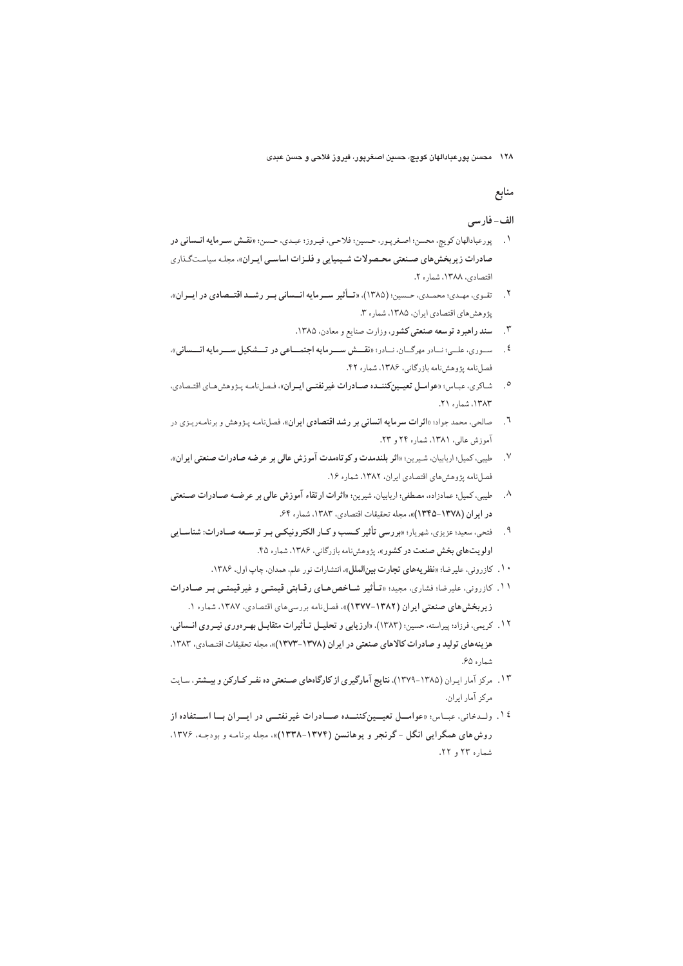۱۲۸ محسن پورعبادالهان کویچ، حسین اصغرپور، فیروز فلاحی و حسن عبدی

# منابع

#### الف-فارسي

- ١. پورعبادالهان كويچ، محسن؛ اصغرپور، حسين؛ فلاحي، فيروز؛ عبدي، حسن؛ «نقمش سـرمايه انـساني در صادرات زیربخش های صنعتی محـصولات شـیمیایی و فلـزات اساسـی ایـران»، مجلـه سیاسـتگـذاری اقتصادي، ١٣٨٨، شماره ٢.
- ۲. تقوی، مهدی؛ محمدی، حسین؛ (۱۳۸۵)، «تـأثیر سـرمایه انـسانی بـر رشـد اقتـصادی در ایـران». پژوهش های اقتصادی ایران، ۱۳۸۵، شماره ۳.
	- ۳. سند راهبرد توسعه صنعتی کشور، وزارت صنایع و معادن، ۱۳۸۵.
- <sup>٤</sup>. پستوري، عليي؛ نسادر مهرگسان، نسادر؛ «نقسش سسرمايه اجتمساعي در تسشكيل سسرمايه انسساني». فصلنامه پژوهشنامه بازرگانی، ۱۳۸۶، شماره ۴۲.
- شاكري، عبـاس: «عوامــل تعيــين كننــده صــادرات غيرنفتــي ايــران». فـصلنامـه پـژوهش هـاي اقتـصادي.  $\cdot$ . ١٣٨٣. شماره ٢١.
- صالحی، محمد جواد؛ «**اثرات سرمایه انسانی بر رشد اقتصادی ایران**»، فصلنامه پیژوهش و برنامهریزی در  $\mathcal{L}$ آموزش عالی، ۱۳۸۱، شماره ۲۴ و ۲۳.
- ٧. طيبي، كميل: اربابيان، شيرين: «اثر بلندمدت وكوتاهمدت آموزش عالى بر عرضه صادرات صنعتي ايران». فصل نامه يؤوهش هاى اقتصادى ايران، ١٣٨٢، شماره ١۶.
- ۸. طیبی، کمیل: عمادزاده، مصطفی: اربابیان، شیرین: «اثرات ارتقاء آموزش عالی بر عرضـه صـادرات صـنعتبی در ايران (١٣٧٨-١٣۴٥)»، مجله تحقيقات اقتصادي، ١٣٨٣، شماره ۶۴.
- ۹ . فتحي، سعيد؛ عزيزي، شهريار؛ «بررسي تأثير كـسب وكـار الكترونيكـي بـر توسـعه صـادرات: شناسـايي اولویتهای بخش صنعت در کشور»، پژوهشنامه بازرگانی، ۱۳۸۶، شماره ۴۵.
	- ۰۱. كازروني، عليرضا؛ «نظريههاي تجارت بين الملل»، انتشارات نور علم، همدان، چاپ اول، ۱۳۸۶.
- ۱۱. کازرونی، علیرضا؛ فشاری، مجید؛ «تاُثیر شـاخص هـای رقـابتی قیمتـی و غیرقیمتـی بـر صـادرات زيربخش هاي صنعتي ايران (١٣٨٢-١٣٧٧)»، فصل نامه بررسي هاي اقتصادي، ١٣٨٧، شماره ١.
- ۱۲. کریمی، فرزاد؛ پیراسته، حسین؛ (۱۳۸۳). «ارزیابی و تحلیــل تــأثیرات متقابــل بهـرهوری نیــروی انــسانی، هزينههاي توليد و صادرات كالاهاي صنعتي در ايران (١٣٧٨-١٣٧٣)»، مجله تحقيقات اقتصادي، ١٣٨٣. شماره ۶۵.
- ۱۳. مرکز آمار ایران (۱۳۸۵-۱۳۷۹)، نتایج آمارگیری از کارگاههای صـنعتی ده نفـر کـارکن و بیـشتر، سـایت مركز آمار ايران.
- ۱٤. ولـدخاني، عبـاس: «عوامــل تعيــينكننــده صــادرات غيرنفتــي در ايــران بــا اســتفاده از روش های همگرایی انگل -گرنجر و یوهانسن (۱۳۷۴-۱۳۳۸)». مجله برنامـه و بودجـه، ۱۳۷۶. شماره ۲۳ و ۲۲.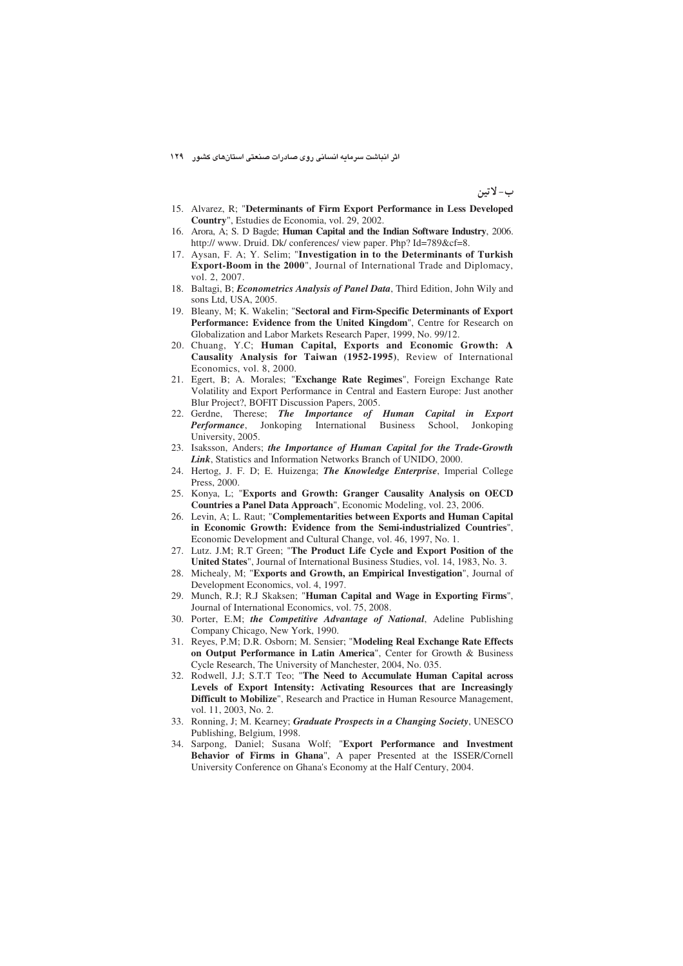اثر انباشت سرمایه انسانی روی صادرات صنعتی استانهای کشور ۱۲۹

ب- لاتين

- 15. Alvarez, R; "**Determinants of Firm Export Performance in Less Developed Country**", Estudies de Economia, vol. 29, 2002.
- 16. Arora, A; S. D Bagde; **Human Capital and the Indian Software Industry**, 2006. http:// www. Druid. Dk/ conferences/ view paper. Php? Id=789&cf=8.
- 17. Aysan, F. A; Y. Selim; "**Investigation in to the Determinants of Turkish Export-Boom in the 2000**", Journal of International Trade and Diplomacy, vol. 2, 2007.
- 18. Baltagi, B; *Econometrics Analysis of Panel Data*, Third Edition, John Wily and sons Ltd, USA, 2005.
- 19. Bleany, M; K. Wakelin; "**Sectoral and Firm-Specific Determinants of Export Performance: Evidence from the United Kingdom**", Centre for Research on Globalization and Labor Markets Research Paper, 1999, No. 99/12.
- 20. Chuang, Y.C; **Human Capital, Exports and Economic Growth: A Causality Analysis for Taiwan (1952-1995)**, Review of International Economics, vol. 8, 2000.
- 21. Egert, B; A. Morales; "**Exchange Rate Regimes**", Foreign Exchange Rate Volatility and Export Performance in Central and Eastern Europe: Just another Blur Project?, BOFIT Discussion Papers, 2005.
- 22. Gerdne, Therese; *The Importance of Human Capital in Export Performance*, Jonkoping International Business School, Jonkoping University, 2005.
- 23. Isaksson, Anders; *the Importance of Human Capital for the Trade-Growth Link*, Statistics and Information Networks Branch of UNIDO, 2000.
- 24. Hertog, J. F. D; E. Huizenga; *The Knowledge Enterprise*, Imperial College Press, 2000.
- 25. Konya, L; "**Exports and Growth: Granger Causality Analysis on OECD Countries a Panel Data Approach**", Economic Modeling, vol. 23, 2006.
- 26. Levin, A; L. Raut; "**Complementarities between Exports and Human Capital in Economic Growth: Evidence from the Semi-industrialized Countries**", Economic Development and Cultural Change, vol. 46, 1997, No. 1.
- 27. Lutz. J.M; R.T Green; "**The Product Life Cycle and Export Position of the United States**", Journal of International Business Studies, vol. 14, 1983, No. 3.
- 28. Michealy, M; "**Exports and Growth, an Empirical Investigation**", Journal of Development Economics, vol. 4, 1997.
- 29. Munch, R.J; R.J Skaksen; "**Human Capital and Wage in Exporting Firms**", Journal of International Economics, vol. 75, 2008.
- 30. Porter, E.M; *the Competitive Advantage of National*, Adeline Publishing Company Chicago, New York, 1990.
- 31. Reyes, P.M; D.R. Osborn; M. Sensier; "**Modeling Real Exchange Rate Effects on Output Performance in Latin America**", Center for Growth & Business Cycle Research, The University of Manchester, 2004, No. 035.
- 32. Rodwell, J.J; S.T.T Teo; "**The Need to Accumulate Human Capital across Levels of Export Intensity: Activating Resources that are Increasingly Difficult to Mobilize**", Research and Practice in Human Resource Management, vol. 11, 2003, No. 2.
- 33. Ronning, J; M. Kearney; *Graduate Prospects in a Changing Society*, UNESCO Publishing, Belgium, 1998.
- 34. Sarpong, Daniel; Susana Wolf; "**Export Performance and Investment Behavior of Firms in Ghana**", A paper Presented at the ISSER/Cornell University Conference on Ghana's Economy at the Half Century, 2004.